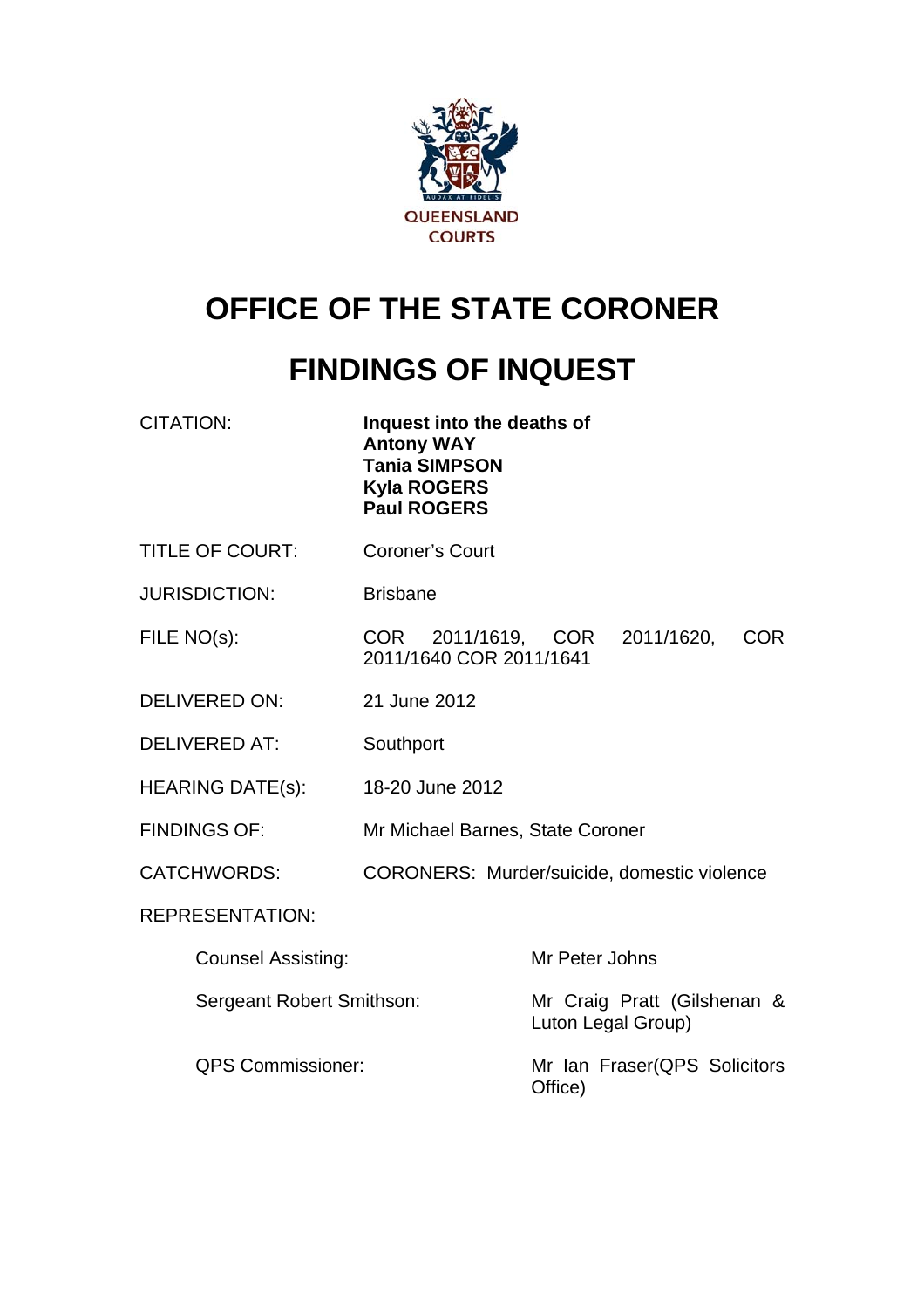

# **OFFICE OF THE STATE CORONER**

# **FINDINGS OF INQUEST**

CITATION: **Inquest into the deaths of Antony WAY Tania SIMPSON Kyla ROGERS Paul ROGERS** 

- TITLE OF COURT: Coroner's Court
- JURISDICTION: Brisbane

FILE NO(s): COR 2011/1619, COR 2011/1620, COR 2011/1640 COR 2011/1641

- DELIVERED ON: 21 June 2012
- DELIVERED AT: Southport
- HEARING DATE(s): 18-20 June 2012
- FINDINGS OF: Mr Michael Barnes, State Coroner
- CATCHWORDS: CORONERS: Murder/suicide, domestic violence

REPRESENTATION:

| <b>Counsel Assisting:</b> | Mr Peter Johns                                    |  |
|---------------------------|---------------------------------------------------|--|
| Sergeant Robert Smithson: | Mr Craig Pratt (Gilshenan &<br>Luton Legal Group) |  |
| <b>QPS Commissioner:</b>  | Mr Ian Fraser(QPS Solicitors<br>Office)           |  |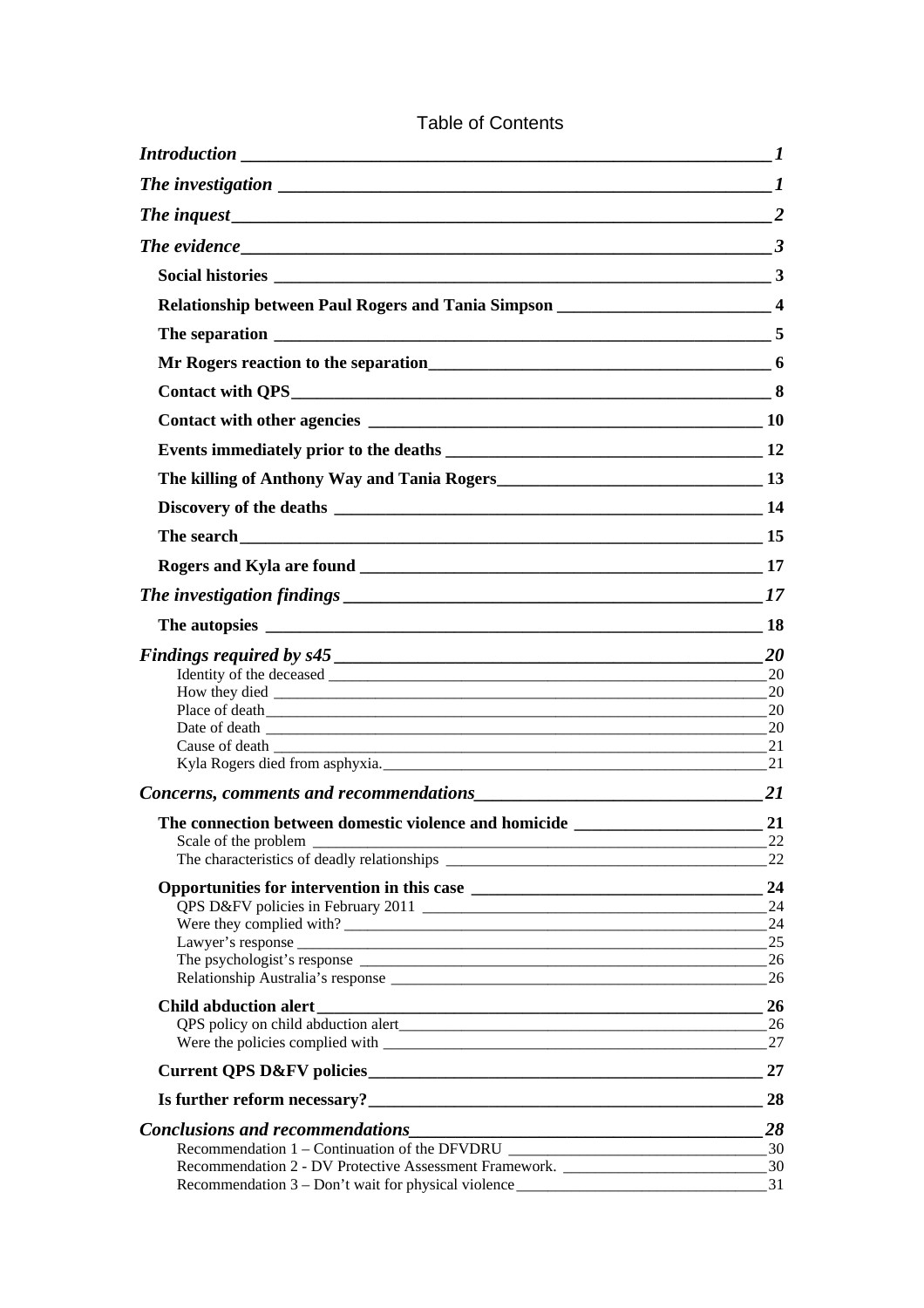| $Introduction$ $1$                                                                                                                       |          |
|------------------------------------------------------------------------------------------------------------------------------------------|----------|
| The investigation $\sqrt{1-\frac{1}{2}}$                                                                                                 |          |
| The inquest 2                                                                                                                            |          |
| The evidence $\qquad \qquad \qquad 3$                                                                                                    |          |
|                                                                                                                                          |          |
| Relationship between Paul Rogers and Tania Simpson ______________________________ 4                                                      |          |
|                                                                                                                                          |          |
|                                                                                                                                          |          |
|                                                                                                                                          |          |
|                                                                                                                                          |          |
|                                                                                                                                          |          |
|                                                                                                                                          |          |
|                                                                                                                                          |          |
|                                                                                                                                          |          |
|                                                                                                                                          |          |
|                                                                                                                                          |          |
|                                                                                                                                          |          |
|                                                                                                                                          |          |
|                                                                                                                                          | 20       |
|                                                                                                                                          |          |
|                                                                                                                                          |          |
|                                                                                                                                          |          |
|                                                                                                                                          |          |
| Kyla Rogers died from asphyxia. 21                                                                                                       |          |
|                                                                                                                                          |          |
|                                                                                                                                          |          |
|                                                                                                                                          |          |
|                                                                                                                                          | 22       |
|                                                                                                                                          | 24       |
|                                                                                                                                          | 24       |
|                                                                                                                                          | 24       |
|                                                                                                                                          | 25       |
|                                                                                                                                          | 26<br>26 |
|                                                                                                                                          |          |
|                                                                                                                                          | 26       |
|                                                                                                                                          | 26<br>27 |
|                                                                                                                                          |          |
|                                                                                                                                          | 27       |
| Is further reform necessary?<br><u> </u>                                                                                                 | 28       |
| Conclusions and recommendations<br><u>Conclusions</u> and recommendations<br><u>Conclusions</u>                                          | 28       |
| Recommendation 1 – Continuation of the DFVDRU                                                                                            |          |
| Recommendation 2 - DV Protective Assessment Framework. __________________________<br>Recommendation 3 – Don't wait for physical violence | 30<br>31 |
|                                                                                                                                          |          |

### Table of Contents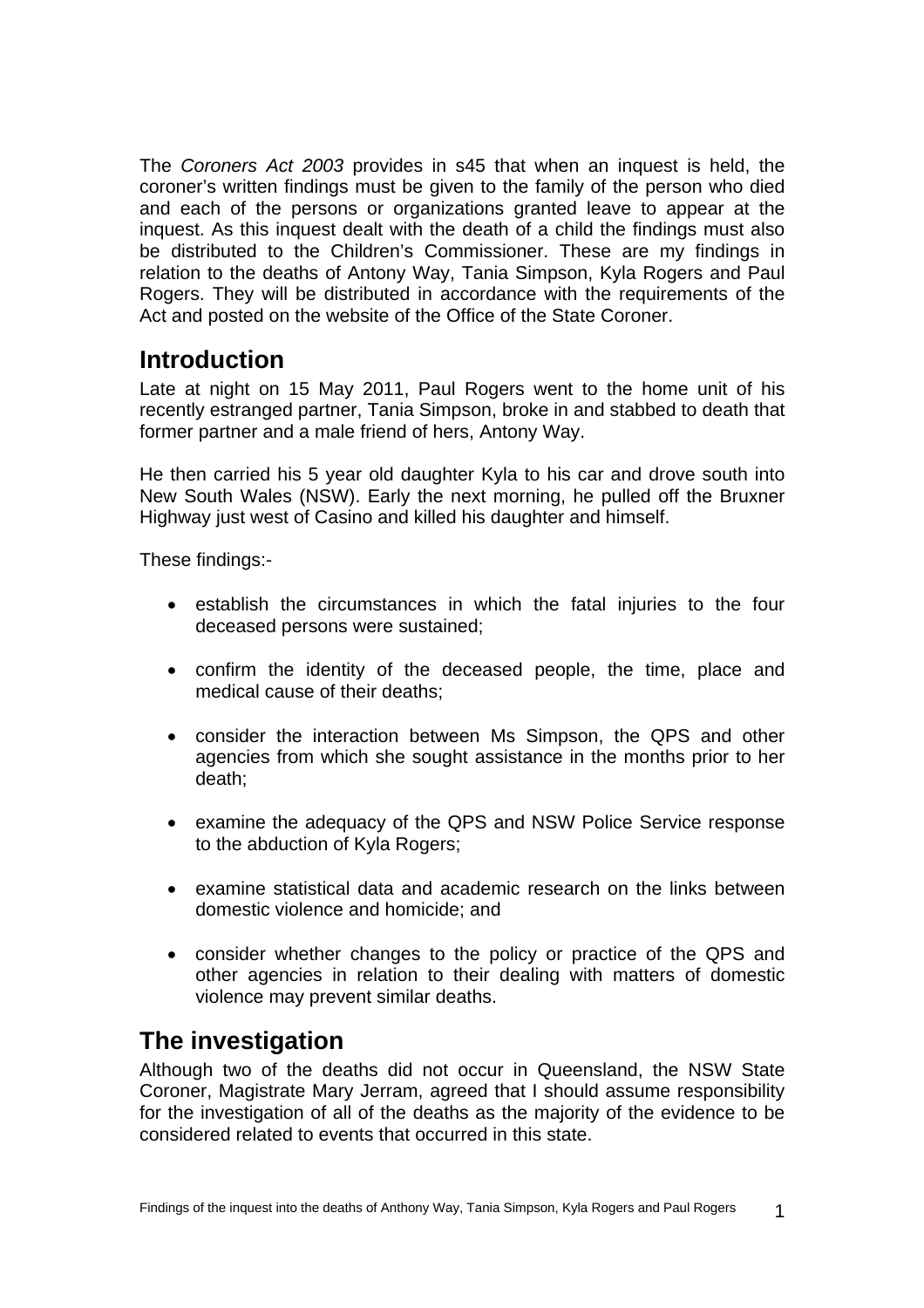<span id="page-2-0"></span>The *Coroners Act 2003* provides in s45 that when an inquest is held, the coroner's written findings must be given to the family of the person who died and each of the persons or organizations granted leave to appear at the inquest. As this inquest dealt with the death of a child the findings must also be distributed to the Children's Commissioner. These are my findings in relation to the deaths of Antony Way, Tania Simpson, Kyla Rogers and Paul Rogers. They will be distributed in accordance with the requirements of the Act and posted on the website of the Office of the State Coroner.

# **Introduction**

Late at night on 15 May 2011, Paul Rogers went to the home unit of his recently estranged partner, Tania Simpson, broke in and stabbed to death that former partner and a male friend of hers, Antony Way.

He then carried his 5 year old daughter Kyla to his car and drove south into New South Wales (NSW). Early the next morning, he pulled off the Bruxner Highway just west of Casino and killed his daughter and himself.

These findings:-

- establish the circumstances in which the fatal injuries to the four deceased persons were sustained;
- confirm the identity of the deceased people, the time, place and medical cause of their deaths;
- consider the interaction between Ms Simpson, the QPS and other agencies from which she sought assistance in the months prior to her death;
- examine the adequacy of the QPS and NSW Police Service response to the abduction of Kyla Rogers;
- examine statistical data and academic research on the links between domestic violence and homicide; and
- consider whether changes to the policy or practice of the QPS and other agencies in relation to their dealing with matters of domestic violence may prevent similar deaths.

# **The investigation**

Although two of the deaths did not occur in Queensland, the NSW State Coroner, Magistrate Mary Jerram, agreed that I should assume responsibility for the investigation of all of the deaths as the majority of the evidence to be considered related to events that occurred in this state.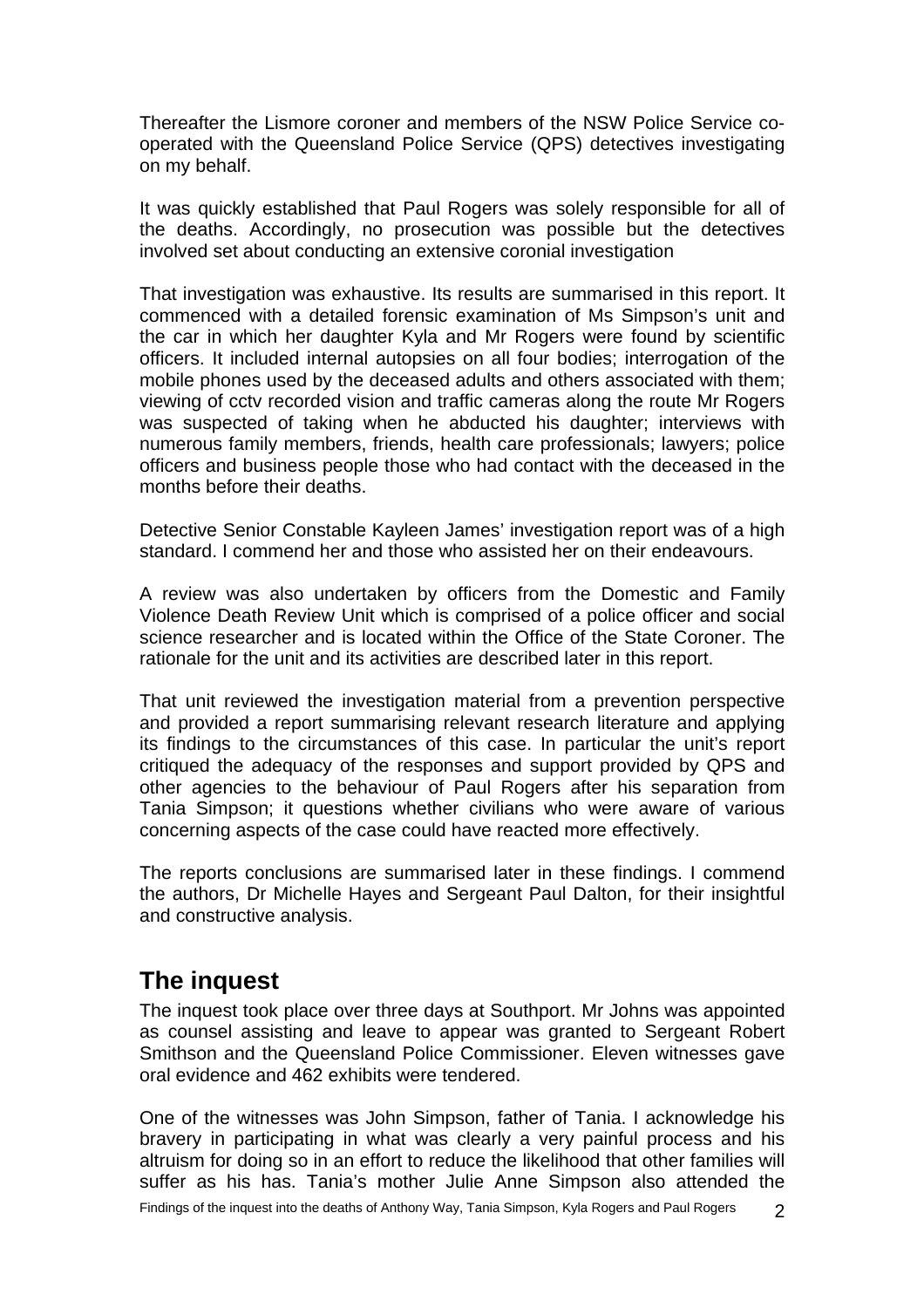<span id="page-3-0"></span>Thereafter the Lismore coroner and members of the NSW Police Service cooperated with the Queensland Police Service (QPS) detectives investigating on my behalf.

It was quickly established that Paul Rogers was solely responsible for all of the deaths. Accordingly, no prosecution was possible but the detectives involved set about conducting an extensive coronial investigation

That investigation was exhaustive. Its results are summarised in this report. It commenced with a detailed forensic examination of Ms Simpson's unit and the car in which her daughter Kyla and Mr Rogers were found by scientific officers. It included internal autopsies on all four bodies; interrogation of the mobile phones used by the deceased adults and others associated with them; viewing of cctv recorded vision and traffic cameras along the route Mr Rogers was suspected of taking when he abducted his daughter; interviews with numerous family members, friends, health care professionals; lawyers; police officers and business people those who had contact with the deceased in the months before their deaths.

Detective Senior Constable Kayleen James' investigation report was of a high standard. I commend her and those who assisted her on their endeavours.

A review was also undertaken by officers from the Domestic and Family Violence Death Review Unit which is comprised of a police officer and social science researcher and is located within the Office of the State Coroner. The rationale for the unit and its activities are described later in this report.

That unit reviewed the investigation material from a prevention perspective and provided a report summarising relevant research literature and applying its findings to the circumstances of this case. In particular the unit's report critiqued the adequacy of the responses and support provided by QPS and other agencies to the behaviour of Paul Rogers after his separation from Tania Simpson; it questions whether civilians who were aware of various concerning aspects of the case could have reacted more effectively.

The reports conclusions are summarised later in these findings. I commend the authors, Dr Michelle Hayes and Sergeant Paul Dalton, for their insightful and constructive analysis.

# **The inquest**

The inquest took place over three days at Southport. Mr Johns was appointed as counsel assisting and leave to appear was granted to Sergeant Robert Smithson and the Queensland Police Commissioner. Eleven witnesses gave oral evidence and 462 exhibits were tendered.

One of the witnesses was John Simpson, father of Tania. I acknowledge his bravery in participating in what was clearly a very painful process and his altruism for doing so in an effort to reduce the likelihood that other families will suffer as his has. Tania's mother Julie Anne Simpson also attended the

Findings of the inquest into the deaths of Anthony Way, Tania Simpson, Kyla Rogers and Paul Rogers 2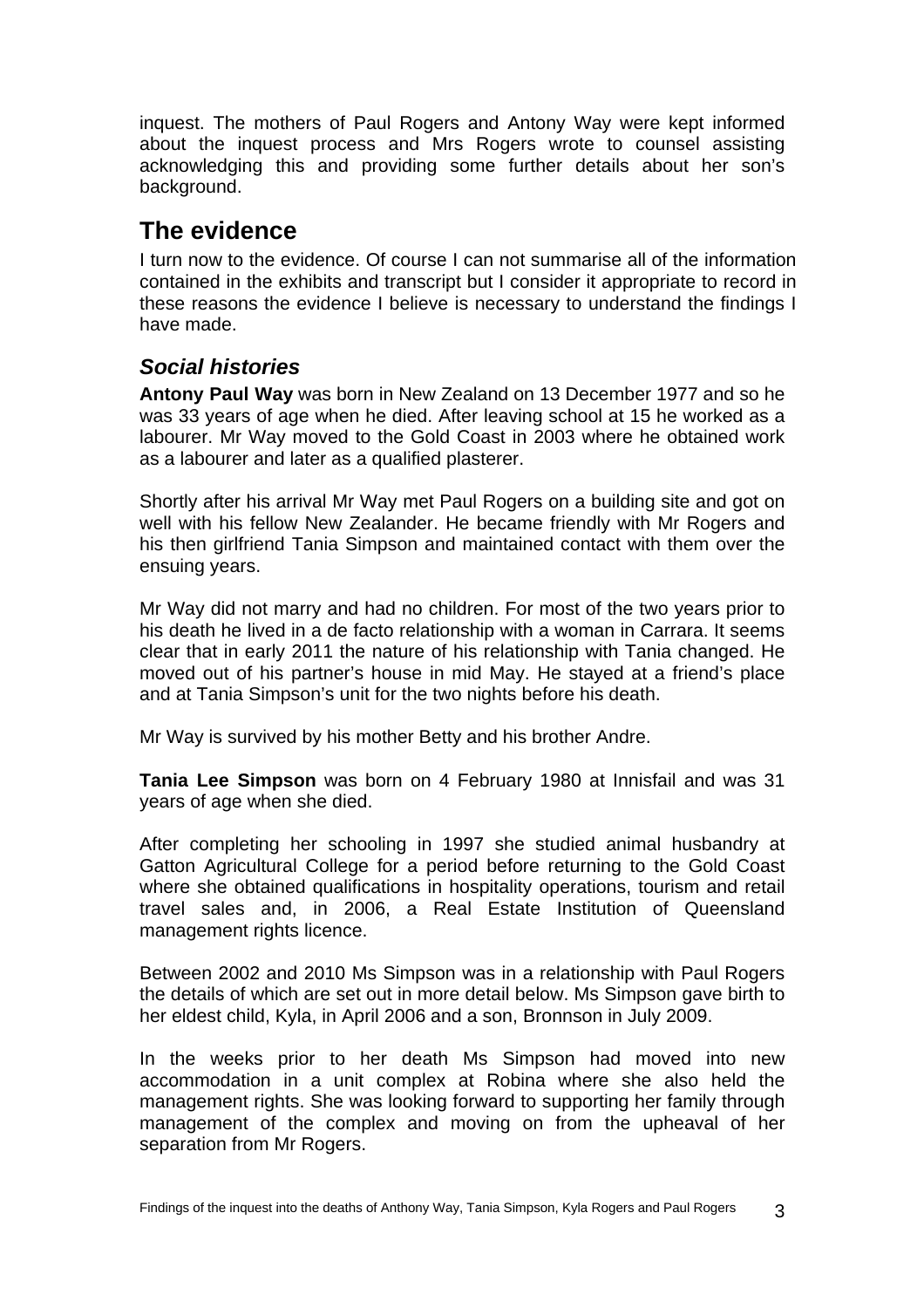<span id="page-4-0"></span>inquest. The mothers of Paul Rogers and Antony Way were kept informed about the inquest process and Mrs Rogers wrote to counsel assisting acknowledging this and providing some further details about her son's background.

# **The evidence**

I turn now to the evidence. Of course I can not summarise all of the information contained in the exhibits and transcript but I consider it appropriate to record in these reasons the evidence I believe is necessary to understand the findings I have made.

# *Social histories*

**Antony Paul Way** was born in New Zealand on 13 December 1977 and so he was 33 years of age when he died. After leaving school at 15 he worked as a labourer. Mr Way moved to the Gold Coast in 2003 where he obtained work as a labourer and later as a qualified plasterer.

Shortly after his arrival Mr Way met Paul Rogers on a building site and got on well with his fellow New Zealander. He became friendly with Mr Rogers and his then girlfriend Tania Simpson and maintained contact with them over the ensuing years.

Mr Way did not marry and had no children. For most of the two years prior to his death he lived in a de facto relationship with a woman in Carrara. It seems clear that in early 2011 the nature of his relationship with Tania changed. He moved out of his partner's house in mid May. He stayed at a friend's place and at Tania Simpson's unit for the two nights before his death.

Mr Way is survived by his mother Betty and his brother Andre.

**Tania Lee Simpson** was born on 4 February 1980 at Innisfail and was 31 years of age when she died.

After completing her schooling in 1997 she studied animal husbandry at Gatton Agricultural College for a period before returning to the Gold Coast where she obtained qualifications in hospitality operations, tourism and retail travel sales and, in 2006, a Real Estate Institution of Queensland management rights licence.

Between 2002 and 2010 Ms Simpson was in a relationship with Paul Rogers the details of which are set out in more detail below. Ms Simpson gave birth to her eldest child, Kyla, in April 2006 and a son, Bronnson in July 2009.

In the weeks prior to her death Ms Simpson had moved into new accommodation in a unit complex at Robina where she also held the management rights. She was looking forward to supporting her family through management of the complex and moving on from the upheaval of her separation from Mr Rogers.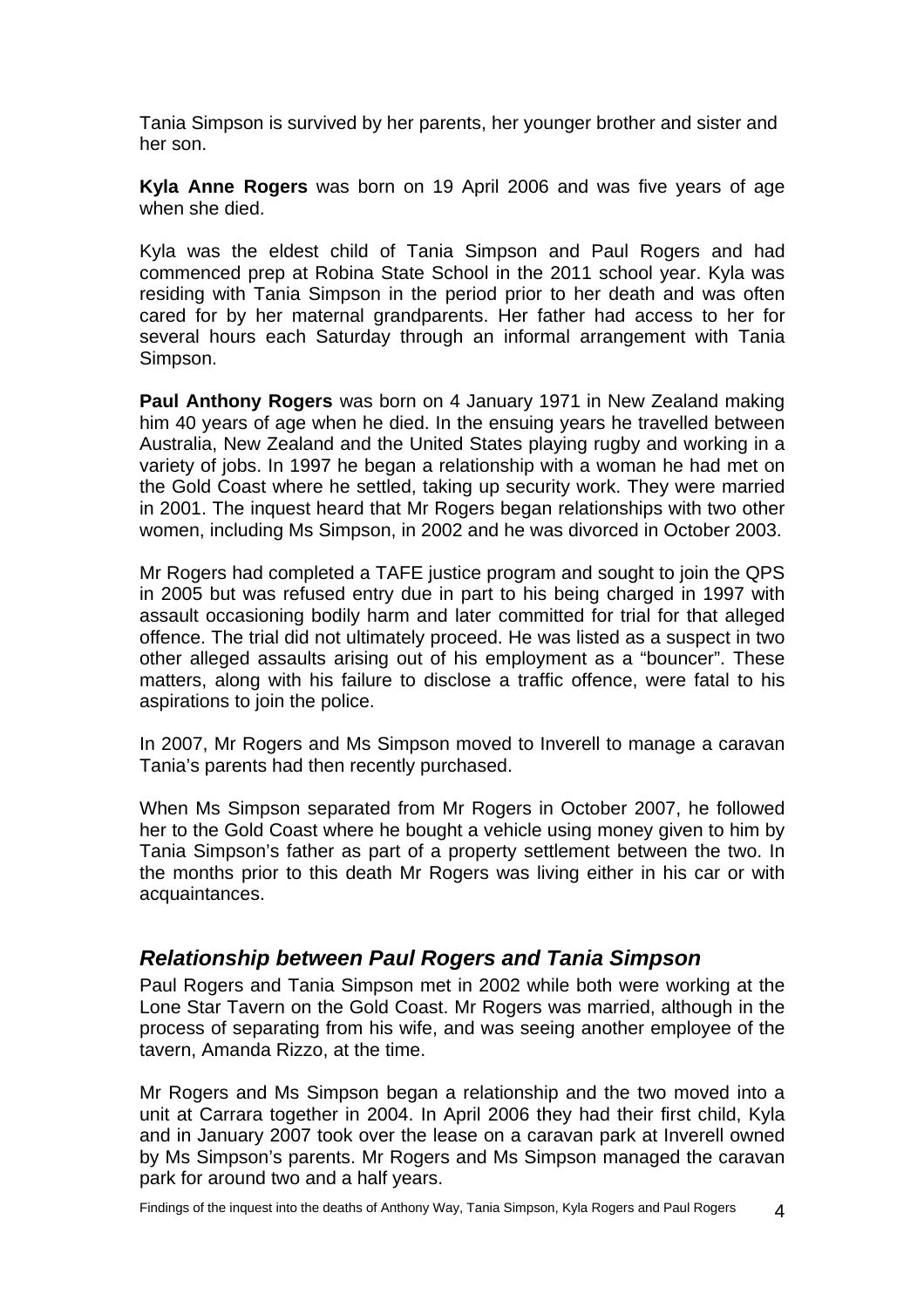<span id="page-5-0"></span>Tania Simpson is survived by her parents, her younger brother and sister and her son.

**Kyla Anne Rogers** was born on 19 April 2006 and was five years of age when she died.

Kyla was the eldest child of Tania Simpson and Paul Rogers and had commenced prep at Robina State School in the 2011 school year. Kyla was residing with Tania Simpson in the period prior to her death and was often cared for by her maternal grandparents. Her father had access to her for several hours each Saturday through an informal arrangement with Tania Simpson.

**Paul Anthony Rogers** was born on 4 January 1971 in New Zealand making him 40 years of age when he died. In the ensuing years he travelled between Australia, New Zealand and the United States playing rugby and working in a variety of jobs. In 1997 he began a relationship with a woman he had met on the Gold Coast where he settled, taking up security work. They were married in 2001. The inquest heard that Mr Rogers began relationships with two other women, including Ms Simpson, in 2002 and he was divorced in October 2003.

Mr Rogers had completed a TAFE justice program and sought to join the QPS in 2005 but was refused entry due in part to his being charged in 1997 with assault occasioning bodily harm and later committed for trial for that alleged offence. The trial did not ultimately proceed. He was listed as a suspect in two other alleged assaults arising out of his employment as a "bouncer". These matters, along with his failure to disclose a traffic offence, were fatal to his aspirations to join the police.

In 2007, Mr Rogers and Ms Simpson moved to Inverell to manage a caravan Tania's parents had then recently purchased.

When Ms Simpson separated from Mr Rogers in October 2007, he followed her to the Gold Coast where he bought a vehicle using money given to him by Tania Simpson's father as part of a property settlement between the two. In the months prior to this death Mr Rogers was living either in his car or with acquaintances.

### *Relationship between Paul Rogers and Tania Simpson*

Paul Rogers and Tania Simpson met in 2002 while both were working at the Lone Star Tavern on the Gold Coast. Mr Rogers was married, although in the process of separating from his wife, and was seeing another employee of the tavern, Amanda Rizzo, at the time.

Mr Rogers and Ms Simpson began a relationship and the two moved into a unit at Carrara together in 2004. In April 2006 they had their first child, Kyla and in January 2007 took over the lease on a caravan park at Inverell owned by Ms Simpson's parents. Mr Rogers and Ms Simpson managed the caravan park for around two and a half years.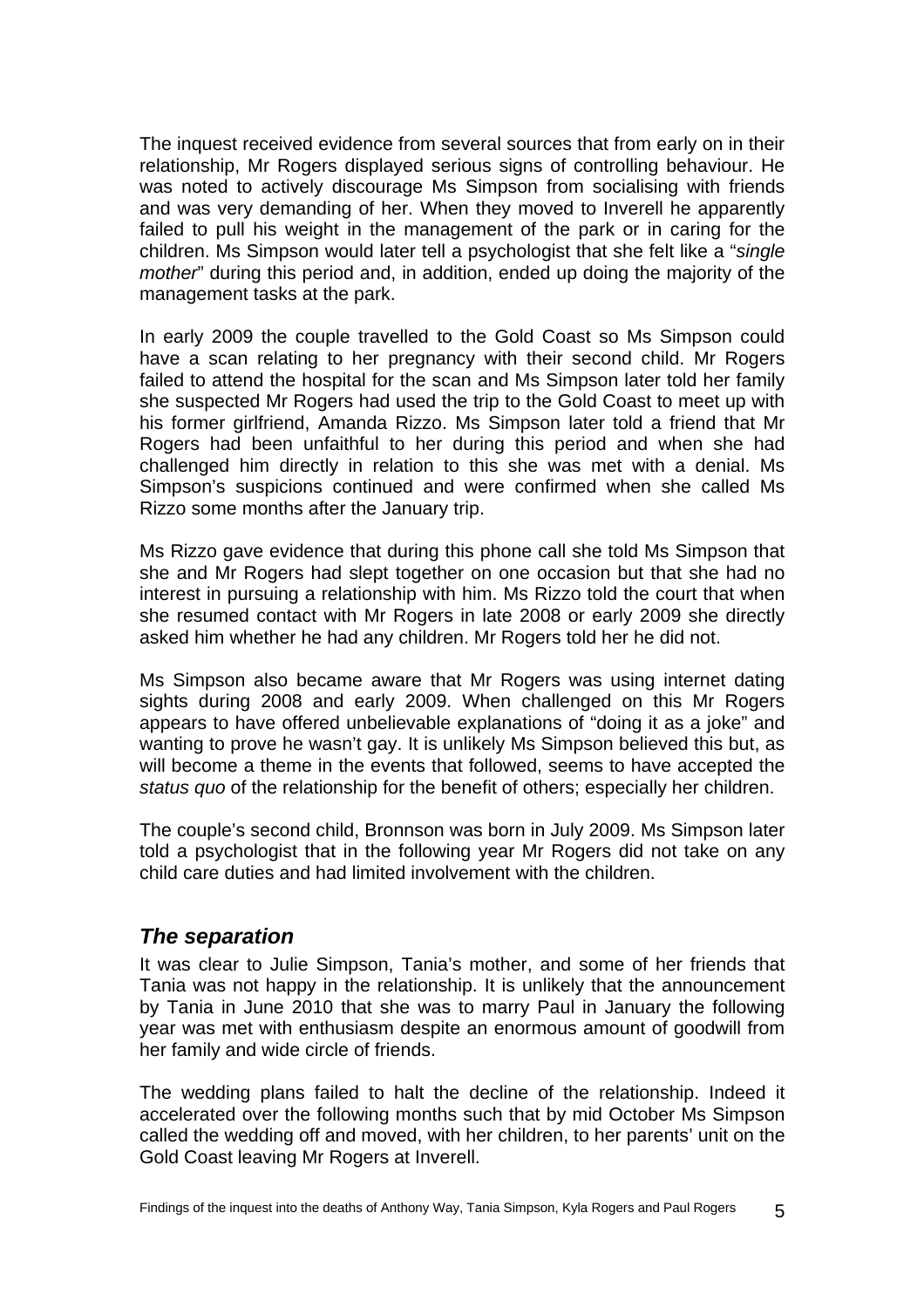<span id="page-6-0"></span>The inquest received evidence from several sources that from early on in their relationship, Mr Rogers displayed serious signs of controlling behaviour. He was noted to actively discourage Ms Simpson from socialising with friends and was very demanding of her. When they moved to Inverell he apparently failed to pull his weight in the management of the park or in caring for the children. Ms Simpson would later tell a psychologist that she felt like a "*single mother*" during this period and, in addition, ended up doing the majority of the management tasks at the park.

In early 2009 the couple travelled to the Gold Coast so Ms Simpson could have a scan relating to her pregnancy with their second child. Mr Rogers failed to attend the hospital for the scan and Ms Simpson later told her family she suspected Mr Rogers had used the trip to the Gold Coast to meet up with his former girlfriend, Amanda Rizzo. Ms Simpson later told a friend that Mr Rogers had been unfaithful to her during this period and when she had challenged him directly in relation to this she was met with a denial. Ms Simpson's suspicions continued and were confirmed when she called Ms Rizzo some months after the January trip.

Ms Rizzo gave evidence that during this phone call she told Ms Simpson that she and Mr Rogers had slept together on one occasion but that she had no interest in pursuing a relationship with him. Ms Rizzo told the court that when she resumed contact with Mr Rogers in late 2008 or early 2009 she directly asked him whether he had any children. Mr Rogers told her he did not.

Ms Simpson also became aware that Mr Rogers was using internet dating sights during 2008 and early 2009. When challenged on this Mr Rogers appears to have offered unbelievable explanations of "doing it as a joke" and wanting to prove he wasn't gay. It is unlikely Ms Simpson believed this but, as will become a theme in the events that followed, seems to have accepted the *status quo* of the relationship for the benefit of others; especially her children.

The couple's second child, Bronnson was born in July 2009. Ms Simpson later told a psychologist that in the following year Mr Rogers did not take on any child care duties and had limited involvement with the children.

### *The separation*

It was clear to Julie Simpson, Tania's mother, and some of her friends that Tania was not happy in the relationship. It is unlikely that the announcement by Tania in June 2010 that she was to marry Paul in January the following year was met with enthusiasm despite an enormous amount of goodwill from her family and wide circle of friends.

The wedding plans failed to halt the decline of the relationship. Indeed it accelerated over the following months such that by mid October Ms Simpson called the wedding off and moved, with her children, to her parents' unit on the Gold Coast leaving Mr Rogers at Inverell.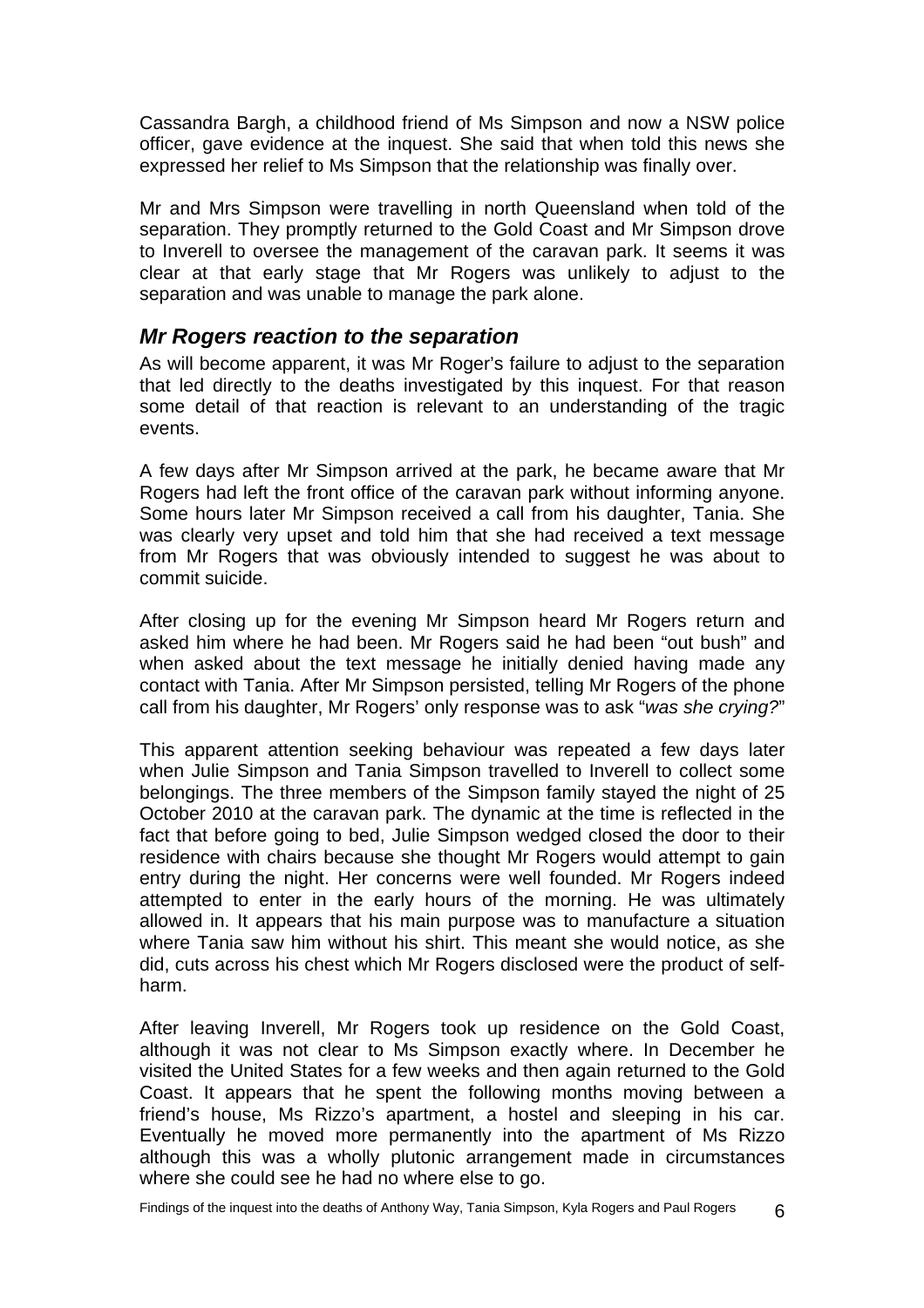<span id="page-7-0"></span>Cassandra Bargh, a childhood friend of Ms Simpson and now a NSW police officer, gave evidence at the inquest. She said that when told this news she expressed her relief to Ms Simpson that the relationship was finally over.

Mr and Mrs Simpson were travelling in north Queensland when told of the separation. They promptly returned to the Gold Coast and Mr Simpson drove to Inverell to oversee the management of the caravan park. It seems it was clear at that early stage that Mr Rogers was unlikely to adjust to the separation and was unable to manage the park alone.

### *Mr Rogers reaction to the separation*

As will become apparent, it was Mr Roger's failure to adjust to the separation that led directly to the deaths investigated by this inquest. For that reason some detail of that reaction is relevant to an understanding of the tragic events.

A few days after Mr Simpson arrived at the park, he became aware that Mr Rogers had left the front office of the caravan park without informing anyone. Some hours later Mr Simpson received a call from his daughter, Tania. She was clearly very upset and told him that she had received a text message from Mr Rogers that was obviously intended to suggest he was about to commit suicide.

After closing up for the evening Mr Simpson heard Mr Rogers return and asked him where he had been. Mr Rogers said he had been "out bush" and when asked about the text message he initially denied having made any contact with Tania. After Mr Simpson persisted, telling Mr Rogers of the phone call from his daughter, Mr Rogers' only response was to ask "*was she crying?*"

This apparent attention seeking behaviour was repeated a few days later when Julie Simpson and Tania Simpson travelled to Inverell to collect some belongings. The three members of the Simpson family stayed the night of 25 October 2010 at the caravan park. The dynamic at the time is reflected in the fact that before going to bed, Julie Simpson wedged closed the door to their residence with chairs because she thought Mr Rogers would attempt to gain entry during the night. Her concerns were well founded. Mr Rogers indeed attempted to enter in the early hours of the morning. He was ultimately allowed in. It appears that his main purpose was to manufacture a situation where Tania saw him without his shirt. This meant she would notice, as she did, cuts across his chest which Mr Rogers disclosed were the product of selfharm.

After leaving Inverell, Mr Rogers took up residence on the Gold Coast, although it was not clear to Ms Simpson exactly where. In December he visited the United States for a few weeks and then again returned to the Gold Coast. It appears that he spent the following months moving between a friend's house, Ms Rizzo's apartment, a hostel and sleeping in his car. Eventually he moved more permanently into the apartment of Ms Rizzo although this was a wholly plutonic arrangement made in circumstances where she could see he had no where else to go.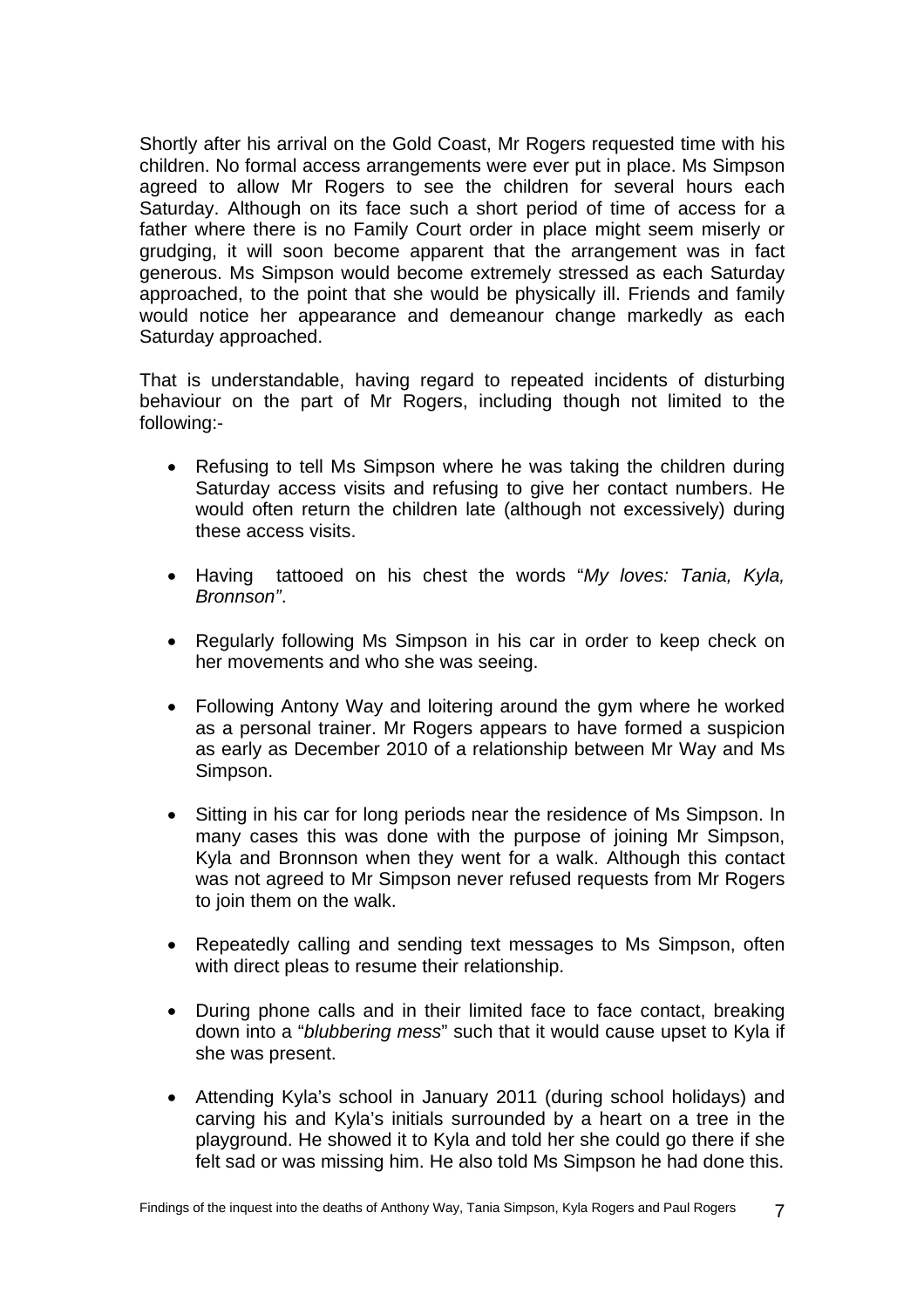Shortly after his arrival on the Gold Coast, Mr Rogers requested time with his children. No formal access arrangements were ever put in place. Ms Simpson agreed to allow Mr Rogers to see the children for several hours each Saturday. Although on its face such a short period of time of access for a father where there is no Family Court order in place might seem miserly or grudging, it will soon become apparent that the arrangement was in fact generous. Ms Simpson would become extremely stressed as each Saturday approached, to the point that she would be physically ill. Friends and family would notice her appearance and demeanour change markedly as each Saturday approached.

That is understandable, having regard to repeated incidents of disturbing behaviour on the part of Mr Rogers, including though not limited to the following:-

- Refusing to tell Ms Simpson where he was taking the children during Saturday access visits and refusing to give her contact numbers. He would often return the children late (although not excessively) during these access visits.
- Having tattooed on his chest the words "*My loves: Tania, Kyla, Bronnson"*.
- Regularly following Ms Simpson in his car in order to keep check on her movements and who she was seeing.
- Following Antony Way and loitering around the gym where he worked as a personal trainer. Mr Rogers appears to have formed a suspicion as early as December 2010 of a relationship between Mr Way and Ms Simpson.
- Sitting in his car for long periods near the residence of Ms Simpson. In many cases this was done with the purpose of joining Mr Simpson, Kyla and Bronnson when they went for a walk. Although this contact was not agreed to Mr Simpson never refused requests from Mr Rogers to join them on the walk.
- Repeatedly calling and sending text messages to Ms Simpson, often with direct pleas to resume their relationship.
- During phone calls and in their limited face to face contact, breaking down into a "*blubbering mess*" such that it would cause upset to Kyla if she was present.
- Attending Kyla's school in January 2011 (during school holidays) and carving his and Kyla's initials surrounded by a heart on a tree in the playground. He showed it to Kyla and told her she could go there if she felt sad or was missing him. He also told Ms Simpson he had done this.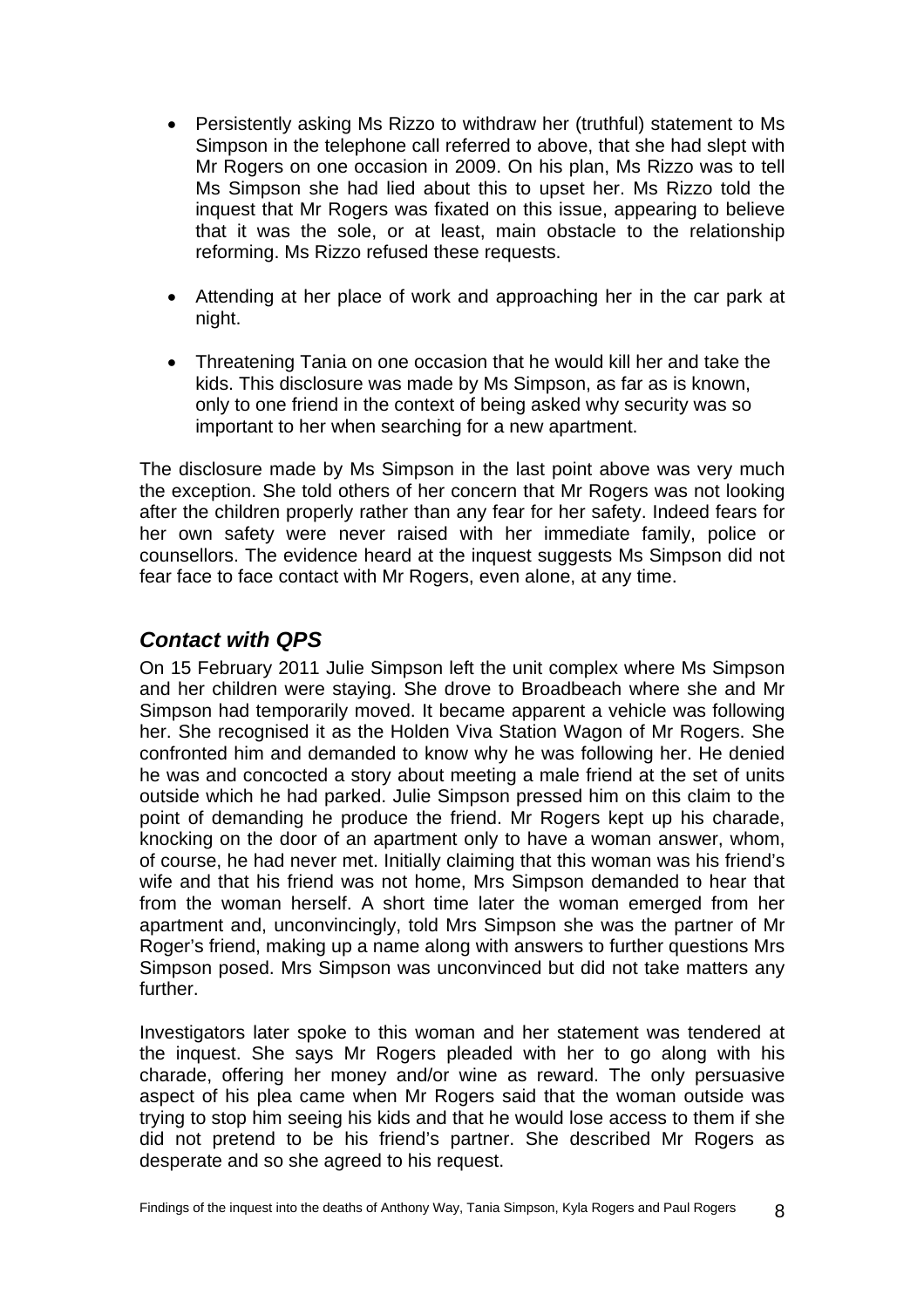- <span id="page-9-0"></span>• Persistently asking Ms Rizzo to withdraw her (truthful) statement to Ms Simpson in the telephone call referred to above, that she had slept with Mr Rogers on one occasion in 2009. On his plan, Ms Rizzo was to tell Ms Simpson she had lied about this to upset her. Ms Rizzo told the inquest that Mr Rogers was fixated on this issue, appearing to believe that it was the sole, or at least, main obstacle to the relationship reforming. Ms Rizzo refused these requests.
- Attending at her place of work and approaching her in the car park at night.
- Threatening Tania on one occasion that he would kill her and take the kids. This disclosure was made by Ms Simpson, as far as is known, only to one friend in the context of being asked why security was so important to her when searching for a new apartment.

The disclosure made by Ms Simpson in the last point above was very much the exception. She told others of her concern that Mr Rogers was not looking after the children properly rather than any fear for her safety. Indeed fears for her own safety were never raised with her immediate family, police or counsellors. The evidence heard at the inquest suggests Ms Simpson did not fear face to face contact with Mr Rogers, even alone, at any time.

### *Contact with QPS*

On 15 February 2011 Julie Simpson left the unit complex where Ms Simpson and her children were staying. She drove to Broadbeach where she and Mr Simpson had temporarily moved. It became apparent a vehicle was following her. She recognised it as the Holden Viva Station Wagon of Mr Rogers. She confronted him and demanded to know why he was following her. He denied he was and concocted a story about meeting a male friend at the set of units outside which he had parked. Julie Simpson pressed him on this claim to the point of demanding he produce the friend. Mr Rogers kept up his charade, knocking on the door of an apartment only to have a woman answer, whom, of course, he had never met. Initially claiming that this woman was his friend's wife and that his friend was not home, Mrs Simpson demanded to hear that from the woman herself. A short time later the woman emerged from her apartment and, unconvincingly, told Mrs Simpson she was the partner of Mr Roger's friend, making up a name along with answers to further questions Mrs Simpson posed. Mrs Simpson was unconvinced but did not take matters any further.

Investigators later spoke to this woman and her statement was tendered at the inquest. She says Mr Rogers pleaded with her to go along with his charade, offering her money and/or wine as reward. The only persuasive aspect of his plea came when Mr Rogers said that the woman outside was trying to stop him seeing his kids and that he would lose access to them if she did not pretend to be his friend's partner. She described Mr Rogers as desperate and so she agreed to his request.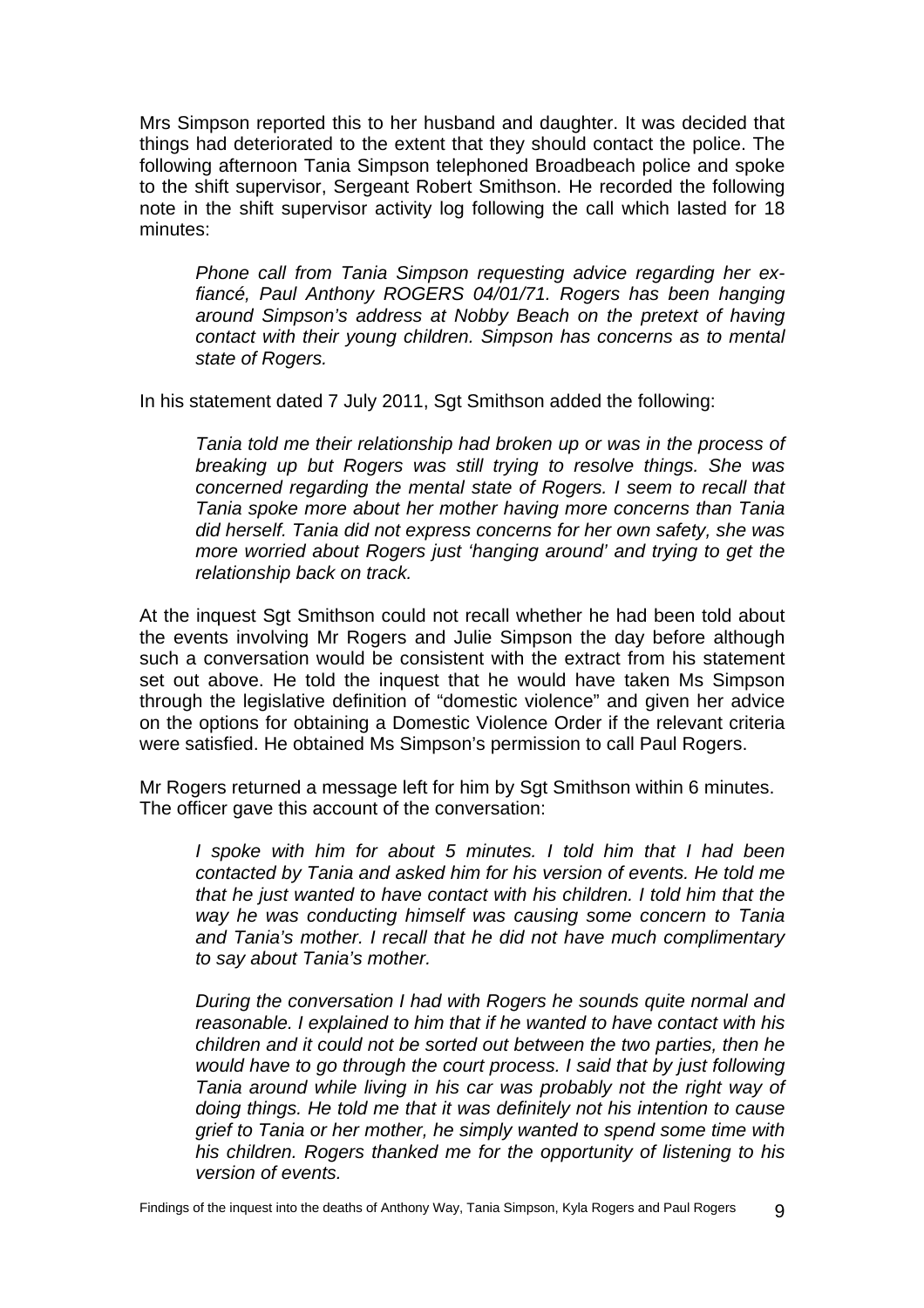Mrs Simpson reported this to her husband and daughter. It was decided that things had deteriorated to the extent that they should contact the police. The following afternoon Tania Simpson telephoned Broadbeach police and spoke to the shift supervisor, Sergeant Robert Smithson. He recorded the following note in the shift supervisor activity log following the call which lasted for 18 minutes:

*Phone call from Tania Simpson requesting advice regarding her exfiancé, Paul Anthony ROGERS 04/01/71. Rogers has been hanging around Simpson's address at Nobby Beach on the pretext of having contact with their young children. Simpson has concerns as to mental state of Rogers.* 

In his statement dated 7 July 2011, Sgt Smithson added the following:

*Tania told me their relationship had broken up or was in the process of breaking up but Rogers was still trying to resolve things. She was concerned regarding the mental state of Rogers. I seem to recall that Tania spoke more about her mother having more concerns than Tania did herself. Tania did not express concerns for her own safety, she was more worried about Rogers just 'hanging around' and trying to get the relationship back on track.* 

At the inquest Sgt Smithson could not recall whether he had been told about the events involving Mr Rogers and Julie Simpson the day before although such a conversation would be consistent with the extract from his statement set out above. He told the inquest that he would have taken Ms Simpson through the legislative definition of "domestic violence" and given her advice on the options for obtaining a Domestic Violence Order if the relevant criteria were satisfied. He obtained Ms Simpson's permission to call Paul Rogers.

Mr Rogers returned a message left for him by Sgt Smithson within 6 minutes. The officer gave this account of the conversation:

*I spoke with him for about 5 minutes. I told him that I had been contacted by Tania and asked him for his version of events. He told me that he just wanted to have contact with his children. I told him that the way he was conducting himself was causing some concern to Tania and Tania's mother. I recall that he did not have much complimentary to say about Tania's mother.* 

*During the conversation I had with Rogers he sounds quite normal and reasonable. I explained to him that if he wanted to have contact with his children and it could not be sorted out between the two parties, then he would have to go through the court process. I said that by just following Tania around while living in his car was probably not the right way of doing things. He told me that it was definitely not his intention to cause grief to Tania or her mother, he simply wanted to spend some time with his children. Rogers thanked me for the opportunity of listening to his version of events.*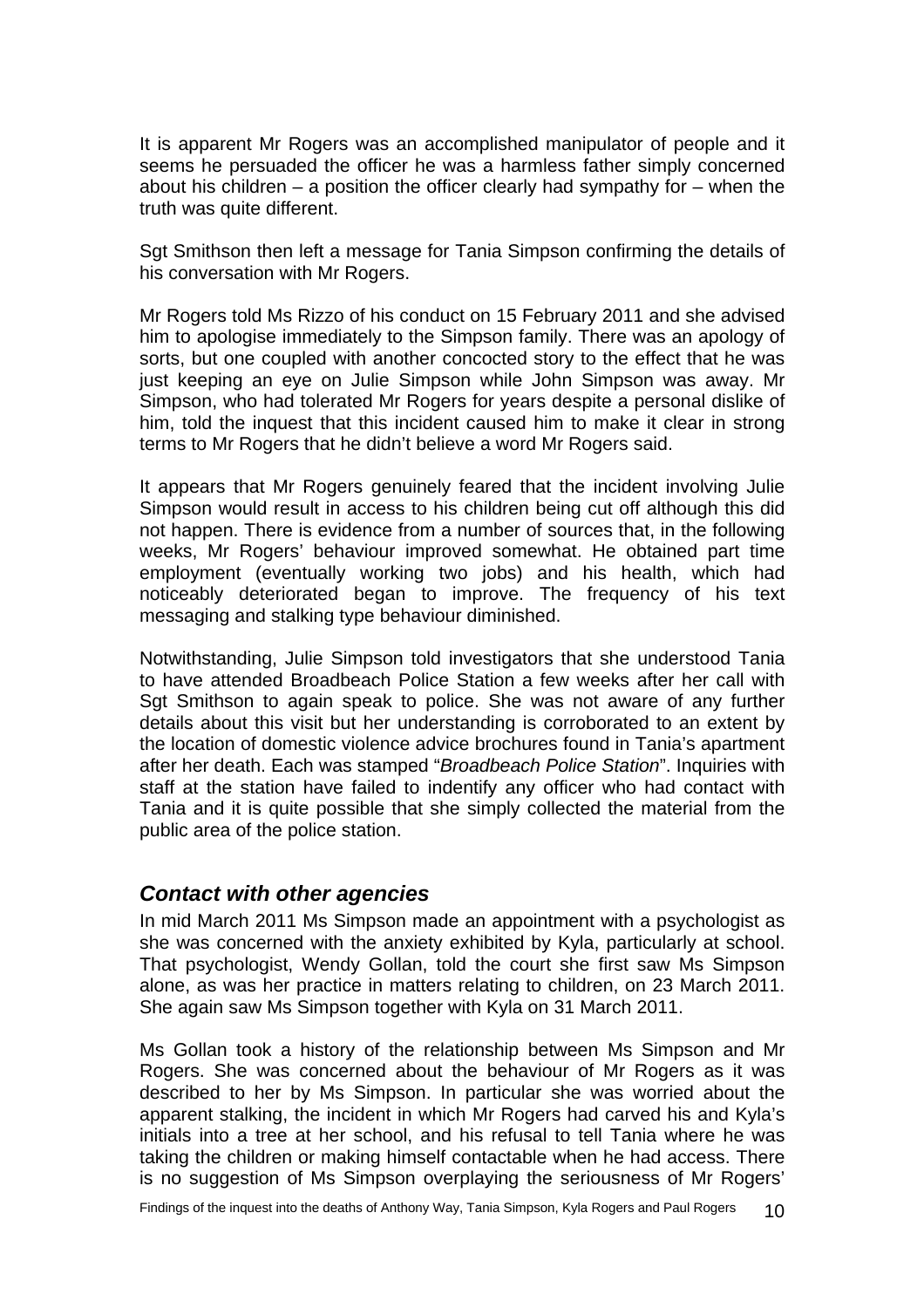<span id="page-11-0"></span>It is apparent Mr Rogers was an accomplished manipulator of people and it seems he persuaded the officer he was a harmless father simply concerned about his children – a position the officer clearly had sympathy for – when the truth was quite different.

Sgt Smithson then left a message for Tania Simpson confirming the details of his conversation with Mr Rogers.

Mr Rogers told Ms Rizzo of his conduct on 15 February 2011 and she advised him to apologise immediately to the Simpson family. There was an apology of sorts, but one coupled with another concocted story to the effect that he was just keeping an eye on Julie Simpson while John Simpson was away. Mr Simpson, who had tolerated Mr Rogers for years despite a personal dislike of him, told the inquest that this incident caused him to make it clear in strong terms to Mr Rogers that he didn't believe a word Mr Rogers said.

It appears that Mr Rogers genuinely feared that the incident involving Julie Simpson would result in access to his children being cut off although this did not happen. There is evidence from a number of sources that, in the following weeks, Mr Rogers' behaviour improved somewhat. He obtained part time employment (eventually working two jobs) and his health, which had noticeably deteriorated began to improve. The frequency of his text messaging and stalking type behaviour diminished.

Notwithstanding, Julie Simpson told investigators that she understood Tania to have attended Broadbeach Police Station a few weeks after her call with Sgt Smithson to again speak to police. She was not aware of any further details about this visit but her understanding is corroborated to an extent by the location of domestic violence advice brochures found in Tania's apartment after her death. Each was stamped "*Broadbeach Police Station*". Inquiries with staff at the station have failed to indentify any officer who had contact with Tania and it is quite possible that she simply collected the material from the public area of the police station.

### *Contact with other agencies*

In mid March 2011 Ms Simpson made an appointment with a psychologist as she was concerned with the anxiety exhibited by Kyla, particularly at school. That psychologist, Wendy Gollan, told the court she first saw Ms Simpson alone, as was her practice in matters relating to children, on 23 March 2011. She again saw Ms Simpson together with Kyla on 31 March 2011.

Ms Gollan took a history of the relationship between Ms Simpson and Mr Rogers. She was concerned about the behaviour of Mr Rogers as it was described to her by Ms Simpson. In particular she was worried about the apparent stalking, the incident in which Mr Rogers had carved his and Kyla's initials into a tree at her school, and his refusal to tell Tania where he was taking the children or making himself contactable when he had access. There is no suggestion of Ms Simpson overplaying the seriousness of Mr Rogers'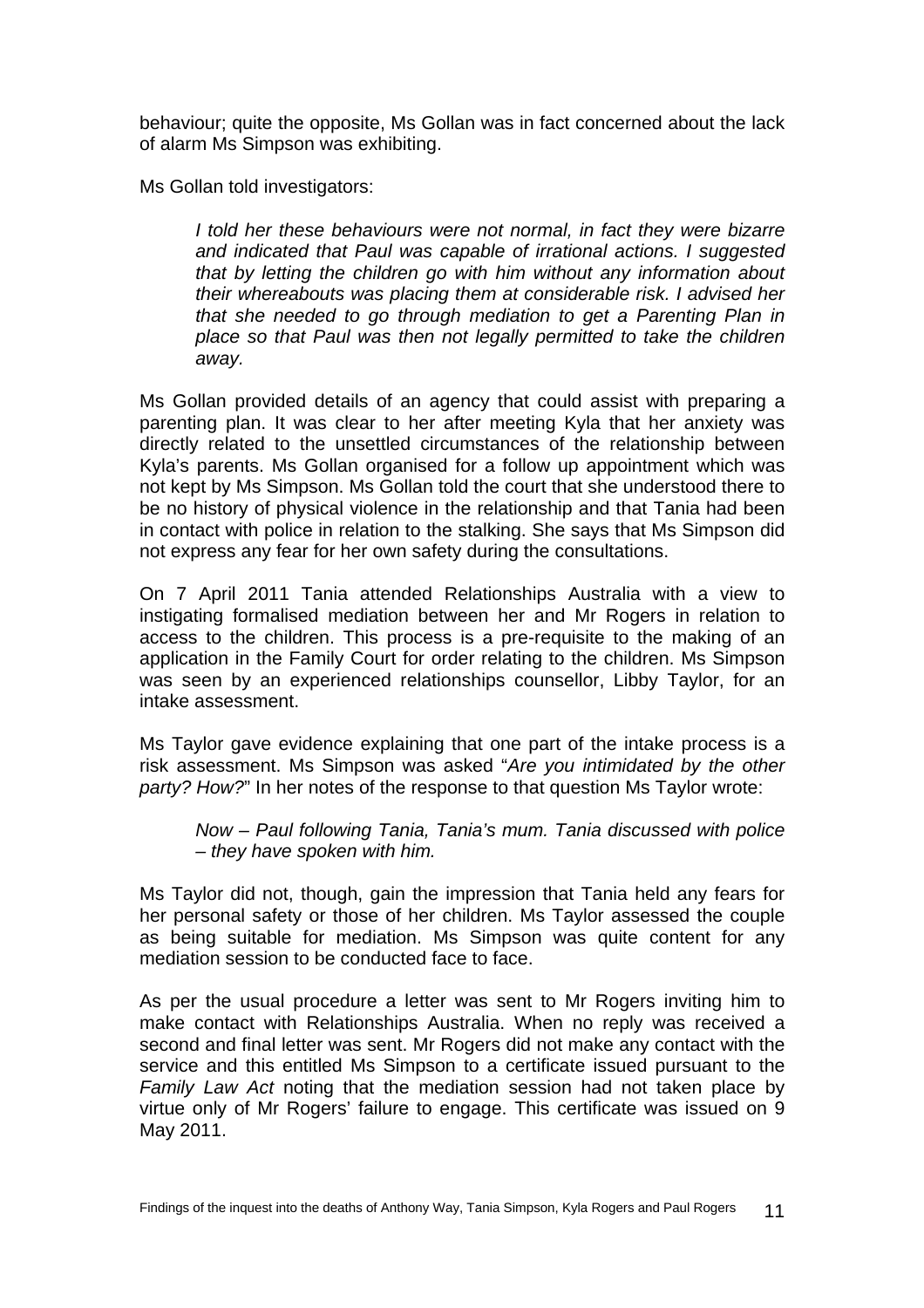behaviour; quite the opposite, Ms Gollan was in fact concerned about the lack of alarm Ms Simpson was exhibiting.

Ms Gollan told investigators:

*I told her these behaviours were not normal, in fact they were bizarre and indicated that Paul was capable of irrational actions. I suggested that by letting the children go with him without any information about their whereabouts was placing them at considerable risk. I advised her that she needed to go through mediation to get a Parenting Plan in place so that Paul was then not legally permitted to take the children away.*

Ms Gollan provided details of an agency that could assist with preparing a parenting plan. It was clear to her after meeting Kyla that her anxiety was directly related to the unsettled circumstances of the relationship between Kyla's parents. Ms Gollan organised for a follow up appointment which was not kept by Ms Simpson. Ms Gollan told the court that she understood there to be no history of physical violence in the relationship and that Tania had been in contact with police in relation to the stalking. She says that Ms Simpson did not express any fear for her own safety during the consultations.

On 7 April 2011 Tania attended Relationships Australia with a view to instigating formalised mediation between her and Mr Rogers in relation to access to the children. This process is a pre-requisite to the making of an application in the Family Court for order relating to the children. Ms Simpson was seen by an experienced relationships counsellor, Libby Taylor, for an intake assessment.

Ms Taylor gave evidence explaining that one part of the intake process is a risk assessment. Ms Simpson was asked "*Are you intimidated by the other party? How?*" In her notes of the response to that question Ms Taylor wrote:

*Now – Paul following Tania, Tania's mum. Tania discussed with police – they have spoken with him.* 

Ms Taylor did not, though, gain the impression that Tania held any fears for her personal safety or those of her children. Ms Taylor assessed the couple as being suitable for mediation. Ms Simpson was quite content for any mediation session to be conducted face to face.

As per the usual procedure a letter was sent to Mr Rogers inviting him to make contact with Relationships Australia. When no reply was received a second and final letter was sent. Mr Rogers did not make any contact with the service and this entitled Ms Simpson to a certificate issued pursuant to the *Family Law Act* noting that the mediation session had not taken place by virtue only of Mr Rogers' failure to engage. This certificate was issued on 9 May 2011.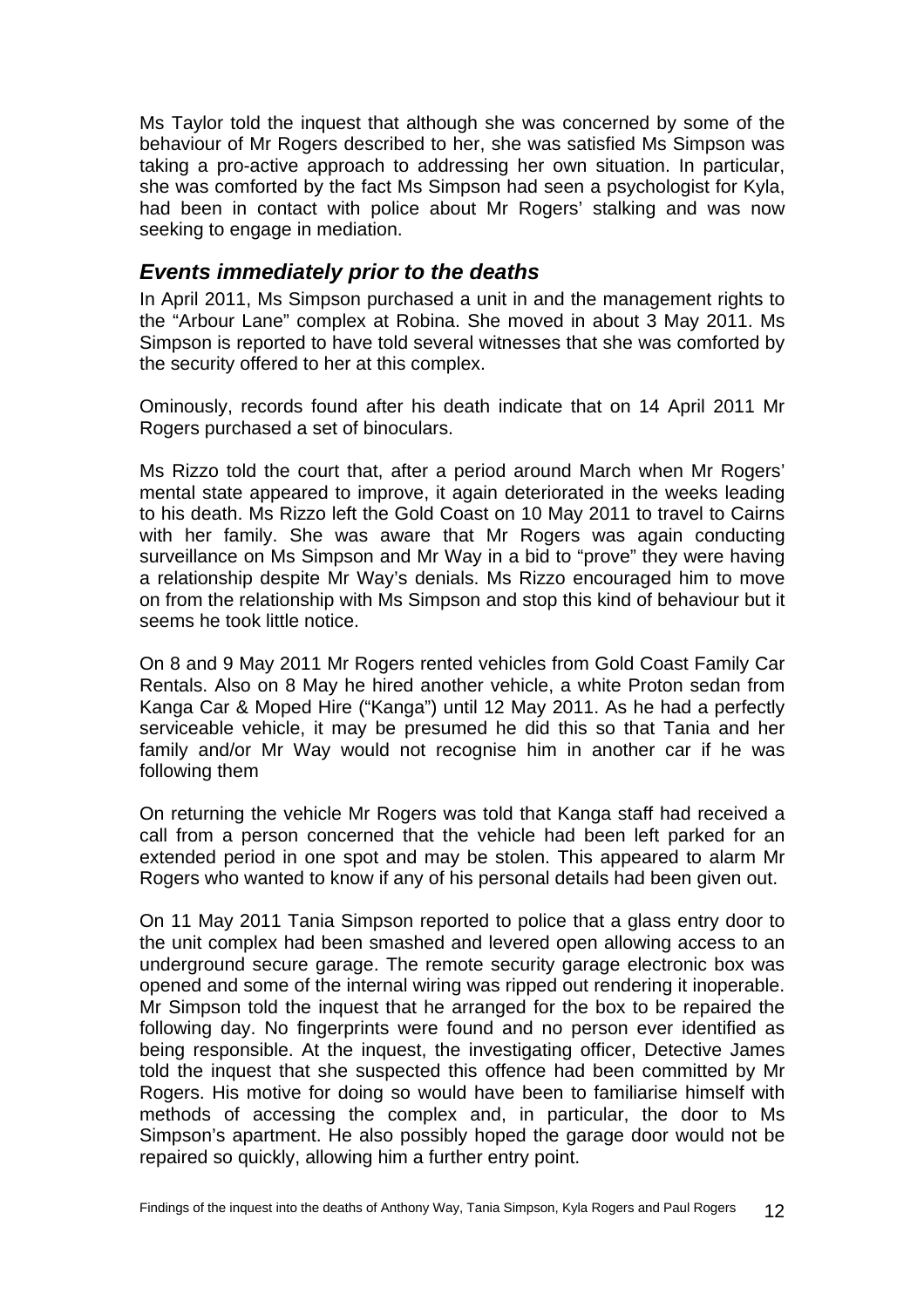<span id="page-13-0"></span>Ms Taylor told the inquest that although she was concerned by some of the behaviour of Mr Rogers described to her, she was satisfied Ms Simpson was taking a pro-active approach to addressing her own situation. In particular, she was comforted by the fact Ms Simpson had seen a psychologist for Kyla, had been in contact with police about Mr Rogers' stalking and was now seeking to engage in mediation.

### *Events immediately prior to the deaths*

In April 2011, Ms Simpson purchased a unit in and the management rights to the "Arbour Lane" complex at Robina. She moved in about 3 May 2011. Ms Simpson is reported to have told several witnesses that she was comforted by the security offered to her at this complex.

Ominously, records found after his death indicate that on 14 April 2011 Mr Rogers purchased a set of binoculars.

Ms Rizzo told the court that, after a period around March when Mr Rogers' mental state appeared to improve, it again deteriorated in the weeks leading to his death. Ms Rizzo left the Gold Coast on 10 May 2011 to travel to Cairns with her family. She was aware that Mr Rogers was again conducting surveillance on Ms Simpson and Mr Way in a bid to "prove" they were having a relationship despite Mr Way's denials. Ms Rizzo encouraged him to move on from the relationship with Ms Simpson and stop this kind of behaviour but it seems he took little notice.

On 8 and 9 May 2011 Mr Rogers rented vehicles from Gold Coast Family Car Rentals. Also on 8 May he hired another vehicle, a white Proton sedan from Kanga Car & Moped Hire ("Kanga") until 12 May 2011. As he had a perfectly serviceable vehicle, it may be presumed he did this so that Tania and her family and/or Mr Way would not recognise him in another car if he was following them

On returning the vehicle Mr Rogers was told that Kanga staff had received a call from a person concerned that the vehicle had been left parked for an extended period in one spot and may be stolen. This appeared to alarm Mr Rogers who wanted to know if any of his personal details had been given out.

On 11 May 2011 Tania Simpson reported to police that a glass entry door to the unit complex had been smashed and levered open allowing access to an underground secure garage. The remote security garage electronic box was opened and some of the internal wiring was ripped out rendering it inoperable. Mr Simpson told the inquest that he arranged for the box to be repaired the following day. No fingerprints were found and no person ever identified as being responsible. At the inquest, the investigating officer, Detective James told the inquest that she suspected this offence had been committed by Mr Rogers. His motive for doing so would have been to familiarise himself with methods of accessing the complex and, in particular, the door to Ms Simpson's apartment. He also possibly hoped the garage door would not be repaired so quickly, allowing him a further entry point.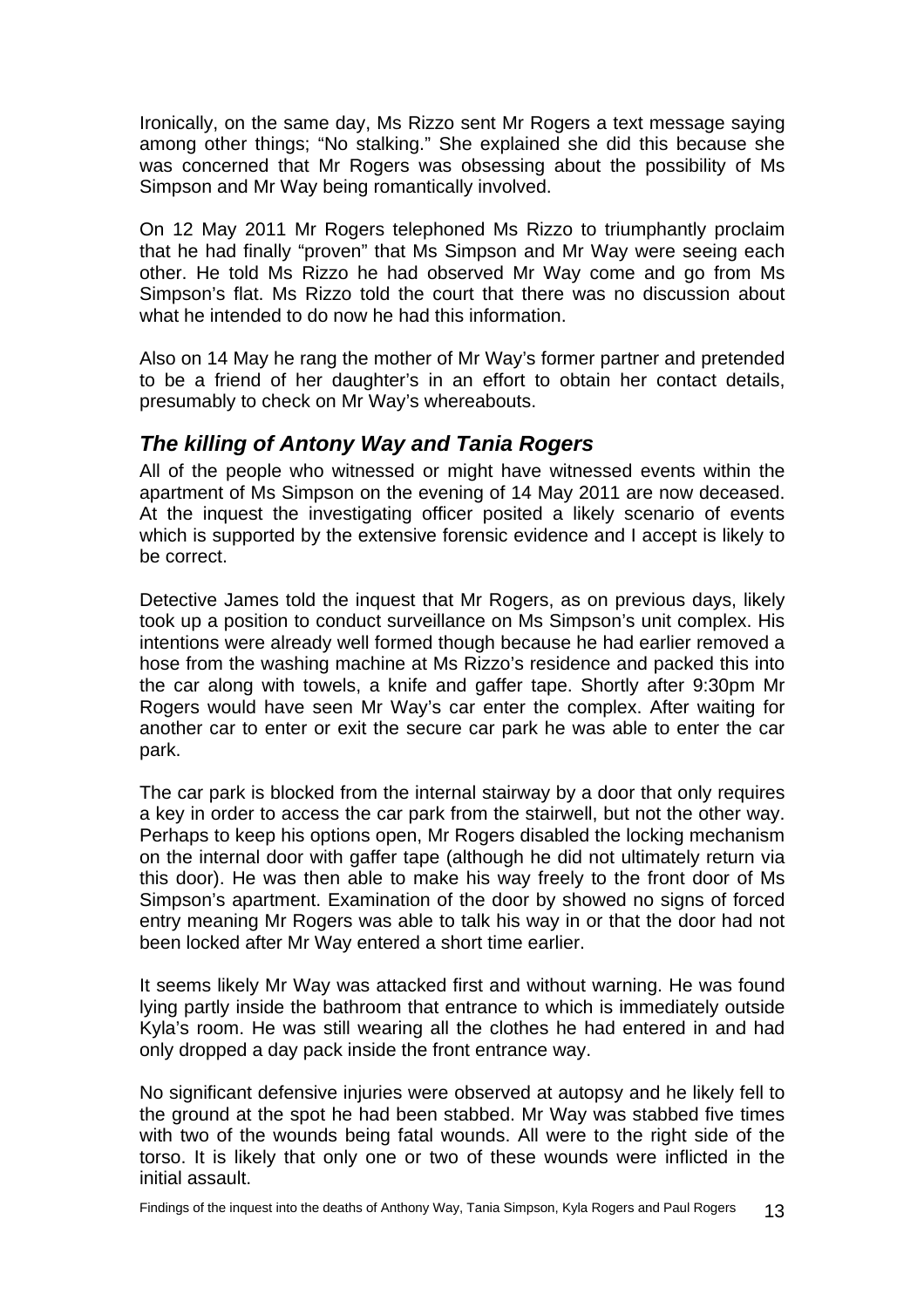<span id="page-14-0"></span>Ironically, on the same day, Ms Rizzo sent Mr Rogers a text message saying among other things; "No stalking." She explained she did this because she was concerned that Mr Rogers was obsessing about the possibility of Ms Simpson and Mr Way being romantically involved.

On 12 May 2011 Mr Rogers telephoned Ms Rizzo to triumphantly proclaim that he had finally "proven" that Ms Simpson and Mr Way were seeing each other. He told Ms Rizzo he had observed Mr Way come and go from Ms Simpson's flat. Ms Rizzo told the court that there was no discussion about what he intended to do now he had this information

Also on 14 May he rang the mother of Mr Way's former partner and pretended to be a friend of her daughter's in an effort to obtain her contact details, presumably to check on Mr Way's whereabouts.

## *The killing of Antony Way and Tania Rogers*

All of the people who witnessed or might have witnessed events within the apartment of Ms Simpson on the evening of 14 May 2011 are now deceased. At the inquest the investigating officer posited a likely scenario of events which is supported by the extensive forensic evidence and I accept is likely to be correct.

Detective James told the inquest that Mr Rogers, as on previous days, likely took up a position to conduct surveillance on Ms Simpson's unit complex. His intentions were already well formed though because he had earlier removed a hose from the washing machine at Ms Rizzo's residence and packed this into the car along with towels, a knife and gaffer tape. Shortly after 9:30pm Mr Rogers would have seen Mr Way's car enter the complex. After waiting for another car to enter or exit the secure car park he was able to enter the car park.

The car park is blocked from the internal stairway by a door that only requires a key in order to access the car park from the stairwell, but not the other way. Perhaps to keep his options open, Mr Rogers disabled the locking mechanism on the internal door with gaffer tape (although he did not ultimately return via this door). He was then able to make his way freely to the front door of Ms Simpson's apartment. Examination of the door by showed no signs of forced entry meaning Mr Rogers was able to talk his way in or that the door had not been locked after Mr Way entered a short time earlier.

It seems likely Mr Way was attacked first and without warning. He was found lying partly inside the bathroom that entrance to which is immediately outside Kyla's room. He was still wearing all the clothes he had entered in and had only dropped a day pack inside the front entrance way.

No significant defensive injuries were observed at autopsy and he likely fell to the ground at the spot he had been stabbed. Mr Way was stabbed five times with two of the wounds being fatal wounds. All were to the right side of the torso. It is likely that only one or two of these wounds were inflicted in the initial assault.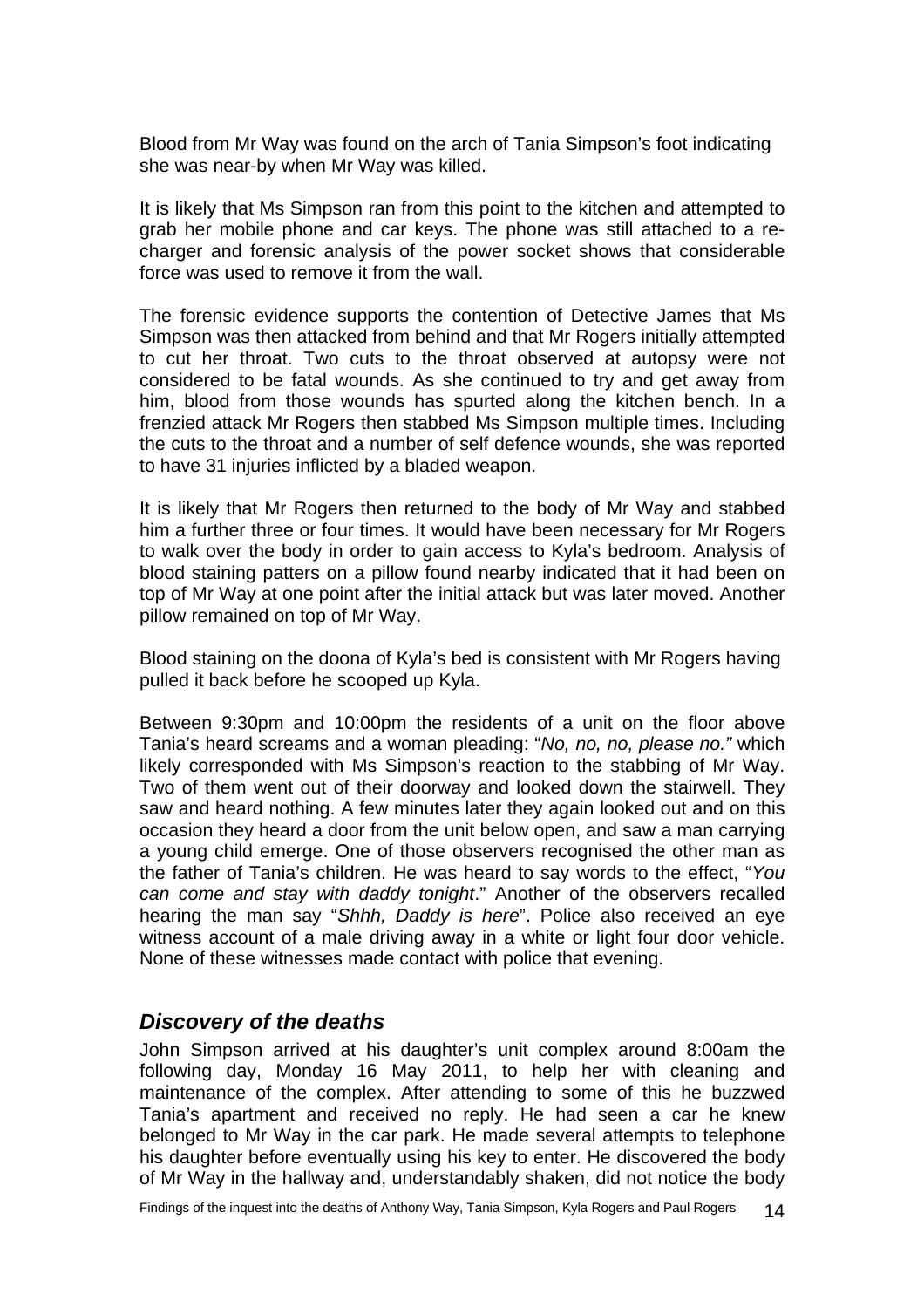<span id="page-15-0"></span>Blood from Mr Way was found on the arch of Tania Simpson's foot indicating she was near-by when Mr Way was killed.

It is likely that Ms Simpson ran from this point to the kitchen and attempted to grab her mobile phone and car keys. The phone was still attached to a recharger and forensic analysis of the power socket shows that considerable force was used to remove it from the wall.

The forensic evidence supports the contention of Detective James that Ms Simpson was then attacked from behind and that Mr Rogers initially attempted to cut her throat. Two cuts to the throat observed at autopsy were not considered to be fatal wounds. As she continued to try and get away from him, blood from those wounds has spurted along the kitchen bench. In a frenzied attack Mr Rogers then stabbed Ms Simpson multiple times. Including the cuts to the throat and a number of self defence wounds, she was reported to have 31 injuries inflicted by a bladed weapon.

It is likely that Mr Rogers then returned to the body of Mr Way and stabbed him a further three or four times. It would have been necessary for Mr Rogers to walk over the body in order to gain access to Kyla's bedroom. Analysis of blood staining patters on a pillow found nearby indicated that it had been on top of Mr Way at one point after the initial attack but was later moved. Another pillow remained on top of Mr Way.

Blood staining on the doona of Kyla's bed is consistent with Mr Rogers having pulled it back before he scooped up Kyla.

Between 9:30pm and 10:00pm the residents of a unit on the floor above Tania's heard screams and a woman pleading: "*No, no, no, please no."* which likely corresponded with Ms Simpson's reaction to the stabbing of Mr Way. Two of them went out of their doorway and looked down the stairwell. They saw and heard nothing. A few minutes later they again looked out and on this occasion they heard a door from the unit below open, and saw a man carrying a young child emerge. One of those observers recognised the other man as the father of Tania's children. He was heard to say words to the effect, "*You can come and stay with daddy tonight*." Another of the observers recalled hearing the man say "*Shhh, Daddy is here*". Police also received an eye witness account of a male driving away in a white or light four door vehicle. None of these witnesses made contact with police that evening.

### *Discovery of the deaths*

John Simpson arrived at his daughter's unit complex around 8:00am the following day, Monday 16 May 2011, to help her with cleaning and maintenance of the complex. After attending to some of this he buzzwed Tania's apartment and received no reply. He had seen a car he knew belonged to Mr Way in the car park. He made several attempts to telephone his daughter before eventually using his key to enter. He discovered the body of Mr Way in the hallway and, understandably shaken, did not notice the body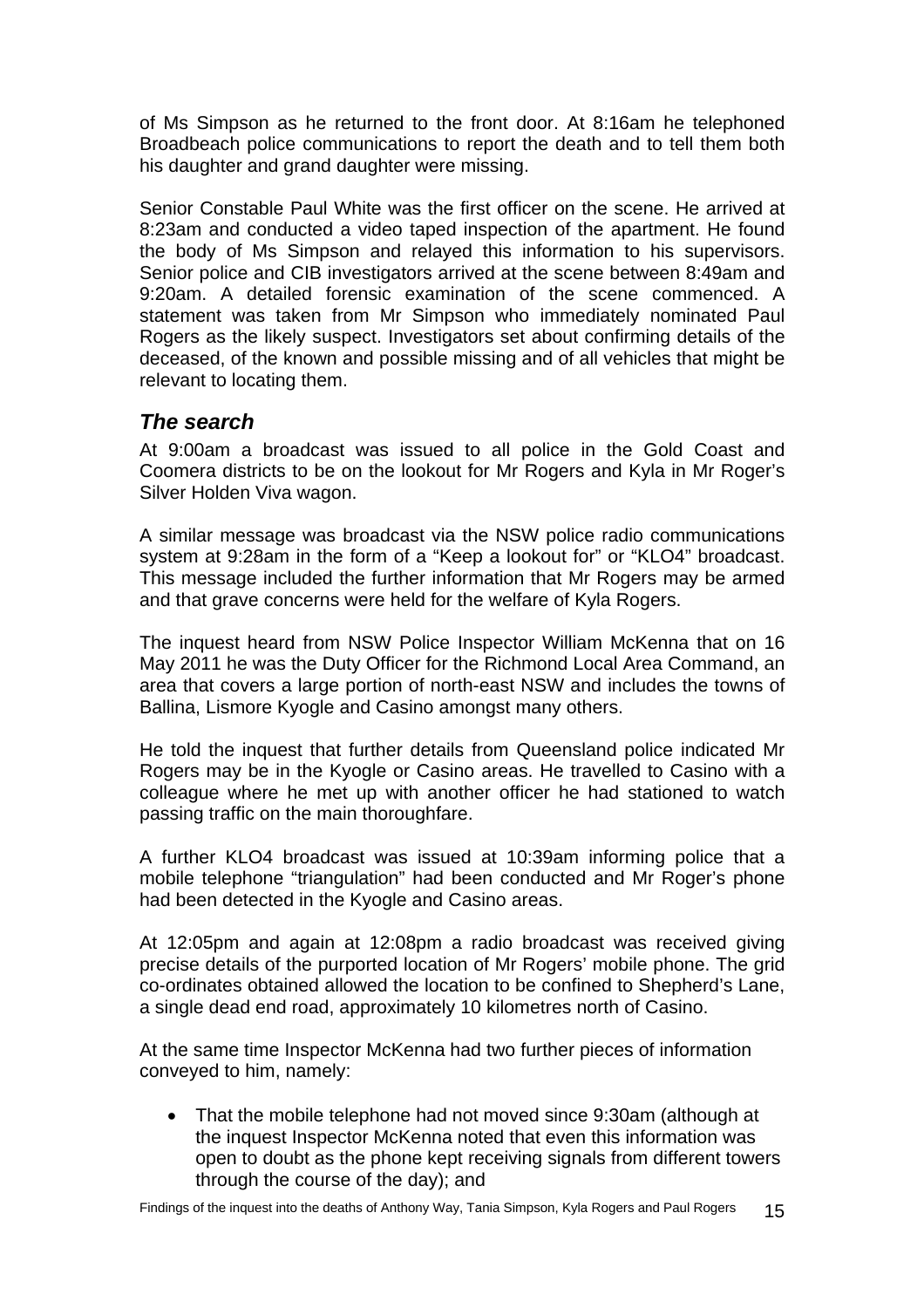<span id="page-16-0"></span>of Ms Simpson as he returned to the front door. At 8:16am he telephoned Broadbeach police communications to report the death and to tell them both his daughter and grand daughter were missing.

Senior Constable Paul White was the first officer on the scene. He arrived at 8:23am and conducted a video taped inspection of the apartment. He found the body of Ms Simpson and relayed this information to his supervisors. Senior police and CIB investigators arrived at the scene between 8:49am and 9:20am. A detailed forensic examination of the scene commenced. A statement was taken from Mr Simpson who immediately nominated Paul Rogers as the likely suspect. Investigators set about confirming details of the deceased, of the known and possible missing and of all vehicles that might be relevant to locating them.

## *The search*

At 9:00am a broadcast was issued to all police in the Gold Coast and Coomera districts to be on the lookout for Mr Rogers and Kyla in Mr Roger's Silver Holden Viva wagon.

A similar message was broadcast via the NSW police radio communications system at 9:28am in the form of a "Keep a lookout for" or "KLO4" broadcast. This message included the further information that Mr Rogers may be armed and that grave concerns were held for the welfare of Kyla Rogers.

The inquest heard from NSW Police Inspector William McKenna that on 16 May 2011 he was the Duty Officer for the Richmond Local Area Command, an area that covers a large portion of north-east NSW and includes the towns of Ballina, Lismore Kyogle and Casino amongst many others.

He told the inquest that further details from Queensland police indicated Mr Rogers may be in the Kyogle or Casino areas. He travelled to Casino with a colleague where he met up with another officer he had stationed to watch passing traffic on the main thoroughfare.

A further KLO4 broadcast was issued at 10:39am informing police that a mobile telephone "triangulation" had been conducted and Mr Roger's phone had been detected in the Kyogle and Casino areas.

At 12:05pm and again at 12:08pm a radio broadcast was received giving precise details of the purported location of Mr Rogers' mobile phone. The grid co-ordinates obtained allowed the location to be confined to Shepherd's Lane, a single dead end road, approximately 10 kilometres north of Casino.

At the same time Inspector McKenna had two further pieces of information conveyed to him, namely:

• That the mobile telephone had not moved since 9:30am (although at the inquest Inspector McKenna noted that even this information was open to doubt as the phone kept receiving signals from different towers through the course of the day); and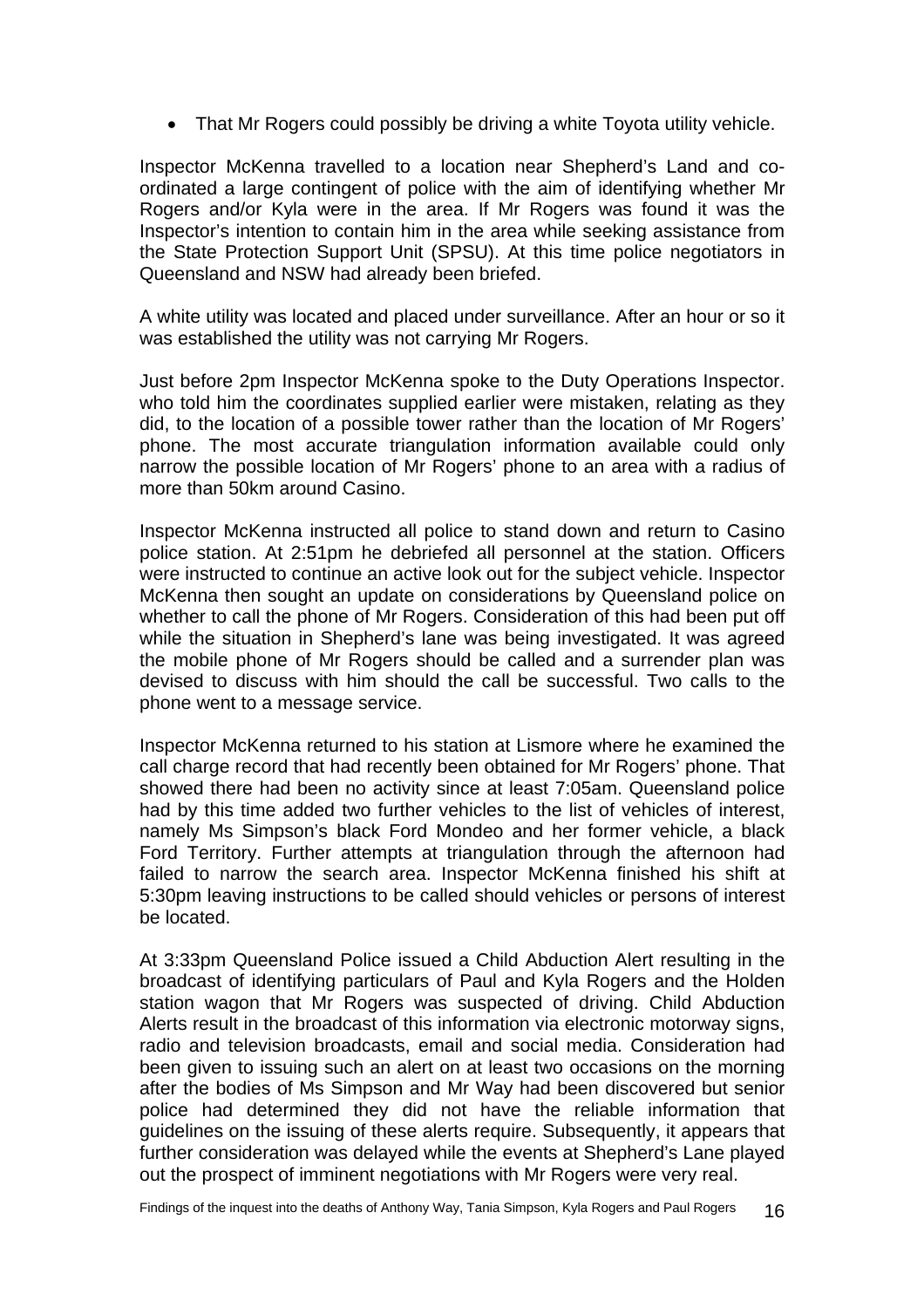• That Mr Rogers could possibly be driving a white Toyota utility vehicle.

Inspector McKenna travelled to a location near Shepherd's Land and coordinated a large contingent of police with the aim of identifying whether Mr Rogers and/or Kyla were in the area. If Mr Rogers was found it was the Inspector's intention to contain him in the area while seeking assistance from the State Protection Support Unit (SPSU). At this time police negotiators in Queensland and NSW had already been briefed.

A white utility was located and placed under surveillance. After an hour or so it was established the utility was not carrying Mr Rogers.

Just before 2pm Inspector McKenna spoke to the Duty Operations Inspector. who told him the coordinates supplied earlier were mistaken, relating as they did, to the location of a possible tower rather than the location of Mr Rogers' phone. The most accurate triangulation information available could only narrow the possible location of Mr Rogers' phone to an area with a radius of more than 50km around Casino.

Inspector McKenna instructed all police to stand down and return to Casino police station. At 2:51pm he debriefed all personnel at the station. Officers were instructed to continue an active look out for the subject vehicle. Inspector McKenna then sought an update on considerations by Queensland police on whether to call the phone of Mr Rogers. Consideration of this had been put off while the situation in Shepherd's lane was being investigated. It was agreed the mobile phone of Mr Rogers should be called and a surrender plan was devised to discuss with him should the call be successful. Two calls to the phone went to a message service.

Inspector McKenna returned to his station at Lismore where he examined the call charge record that had recently been obtained for Mr Rogers' phone. That showed there had been no activity since at least 7:05am. Queensland police had by this time added two further vehicles to the list of vehicles of interest, namely Ms Simpson's black Ford Mondeo and her former vehicle, a black Ford Territory. Further attempts at triangulation through the afternoon had failed to narrow the search area. Inspector McKenna finished his shift at 5:30pm leaving instructions to be called should vehicles or persons of interest be located.

At 3:33pm Queensland Police issued a Child Abduction Alert resulting in the broadcast of identifying particulars of Paul and Kyla Rogers and the Holden station wagon that Mr Rogers was suspected of driving. Child Abduction Alerts result in the broadcast of this information via electronic motorway signs, radio and television broadcasts, email and social media. Consideration had been given to issuing such an alert on at least two occasions on the morning after the bodies of Ms Simpson and Mr Way had been discovered but senior police had determined they did not have the reliable information that guidelines on the issuing of these alerts require. Subsequently, it appears that further consideration was delayed while the events at Shepherd's Lane played out the prospect of imminent negotiations with Mr Rogers were very real.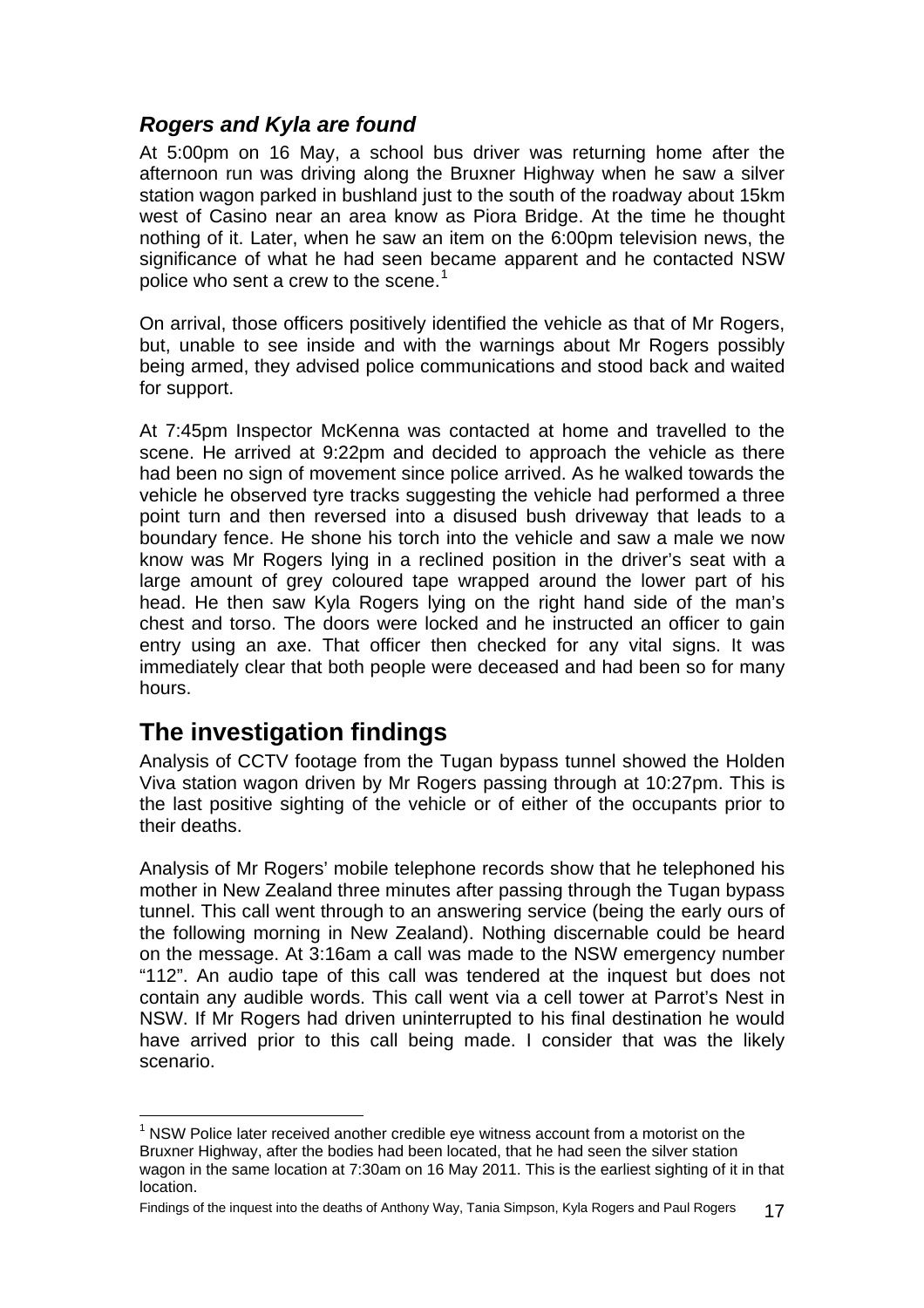# <span id="page-18-0"></span>*Rogers and Kyla are found*

At 5:00pm on 16 May, a school bus driver was returning home after the afternoon run was driving along the Bruxner Highway when he saw a silver station wagon parked in bushland just to the south of the roadway about 15km west of Casino near an area know as Piora Bridge. At the time he thought nothing of it. Later, when he saw an item on the 6:00pm television news, the significance of what he had seen became apparent and he contacted NSW police who sent a crew to the scene. $1$ 

On arrival, those officers positively identified the vehicle as that of Mr Rogers, but, unable to see inside and with the warnings about Mr Rogers possibly being armed, they advised police communications and stood back and waited for support.

At 7:45pm Inspector McKenna was contacted at home and travelled to the scene. He arrived at 9:22pm and decided to approach the vehicle as there had been no sign of movement since police arrived. As he walked towards the vehicle he observed tyre tracks suggesting the vehicle had performed a three point turn and then reversed into a disused bush driveway that leads to a boundary fence. He shone his torch into the vehicle and saw a male we now know was Mr Rogers lying in a reclined position in the driver's seat with a large amount of grey coloured tape wrapped around the lower part of his head. He then saw Kyla Rogers lying on the right hand side of the man's chest and torso. The doors were locked and he instructed an officer to gain entry using an axe. That officer then checked for any vital signs. It was immediately clear that both people were deceased and had been so for many hours.

# **The investigation findings**

l

Analysis of CCTV footage from the Tugan bypass tunnel showed the Holden Viva station wagon driven by Mr Rogers passing through at 10:27pm. This is the last positive sighting of the vehicle or of either of the occupants prior to their deaths.

Analysis of Mr Rogers' mobile telephone records show that he telephoned his mother in New Zealand three minutes after passing through the Tugan bypass tunnel. This call went through to an answering service (being the early ours of the following morning in New Zealand). Nothing discernable could be heard on the message. At 3:16am a call was made to the NSW emergency number "112". An audio tape of this call was tendered at the inquest but does not contain any audible words. This call went via a cell tower at Parrot's Nest in NSW. If Mr Rogers had driven uninterrupted to his final destination he would have arrived prior to this call being made. I consider that was the likely scenario.

<span id="page-18-1"></span> $1$  NSW Police later received another credible eye witness account from a motorist on the Bruxner Highway, after the bodies had been located, that he had seen the silver station wagon in the same location at 7:30am on 16 May 2011. This is the earliest sighting of it in that location.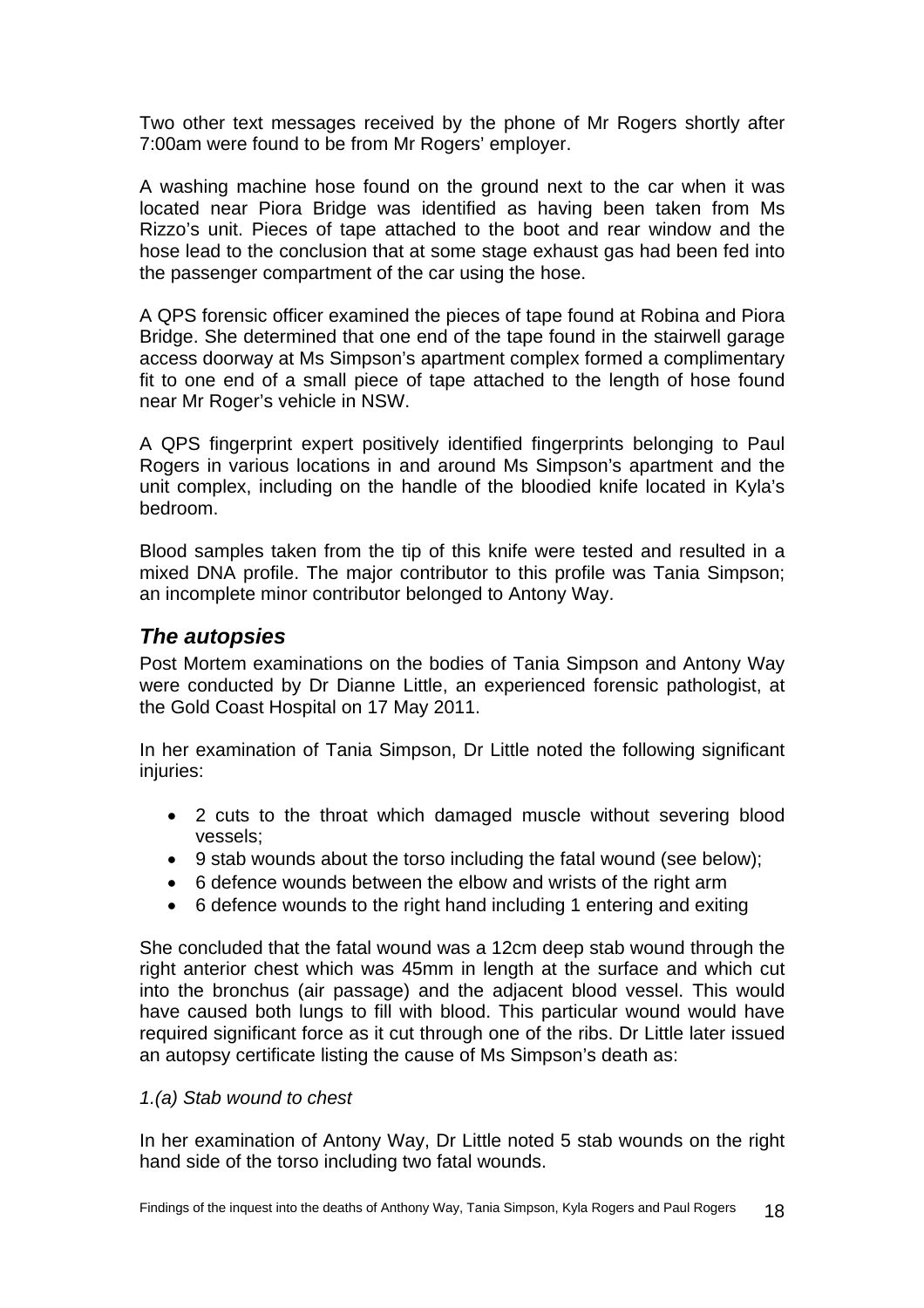<span id="page-19-0"></span>Two other text messages received by the phone of Mr Rogers shortly after 7:00am were found to be from Mr Rogers' employer.

A washing machine hose found on the ground next to the car when it was located near Piora Bridge was identified as having been taken from Ms Rizzo's unit. Pieces of tape attached to the boot and rear window and the hose lead to the conclusion that at some stage exhaust gas had been fed into the passenger compartment of the car using the hose.

A QPS forensic officer examined the pieces of tape found at Robina and Piora Bridge. She determined that one end of the tape found in the stairwell garage access doorway at Ms Simpson's apartment complex formed a complimentary fit to one end of a small piece of tape attached to the length of hose found near Mr Roger's vehicle in NSW.

A QPS fingerprint expert positively identified fingerprints belonging to Paul Rogers in various locations in and around Ms Simpson's apartment and the unit complex, including on the handle of the bloodied knife located in Kyla's bedroom.

Blood samples taken from the tip of this knife were tested and resulted in a mixed DNA profile. The major contributor to this profile was Tania Simpson; an incomplete minor contributor belonged to Antony Way.

### *The autopsies*

Post Mortem examinations on the bodies of Tania Simpson and Antony Way were conducted by Dr Dianne Little, an experienced forensic pathologist, at the Gold Coast Hospital on 17 May 2011.

In her examination of Tania Simpson, Dr Little noted the following significant injuries:

- 2 cuts to the throat which damaged muscle without severing blood vessels;
- 9 stab wounds about the torso including the fatal wound (see below);
- 6 defence wounds between the elbow and wrists of the right arm
- 6 defence wounds to the right hand including 1 entering and exiting

She concluded that the fatal wound was a 12cm deep stab wound through the right anterior chest which was 45mm in length at the surface and which cut into the bronchus (air passage) and the adjacent blood vessel. This would have caused both lungs to fill with blood. This particular wound would have required significant force as it cut through one of the ribs. Dr Little later issued an autopsy certificate listing the cause of Ms Simpson's death as:

### *1.(a) Stab wound to chest*

In her examination of Antony Way, Dr Little noted 5 stab wounds on the right hand side of the torso including two fatal wounds.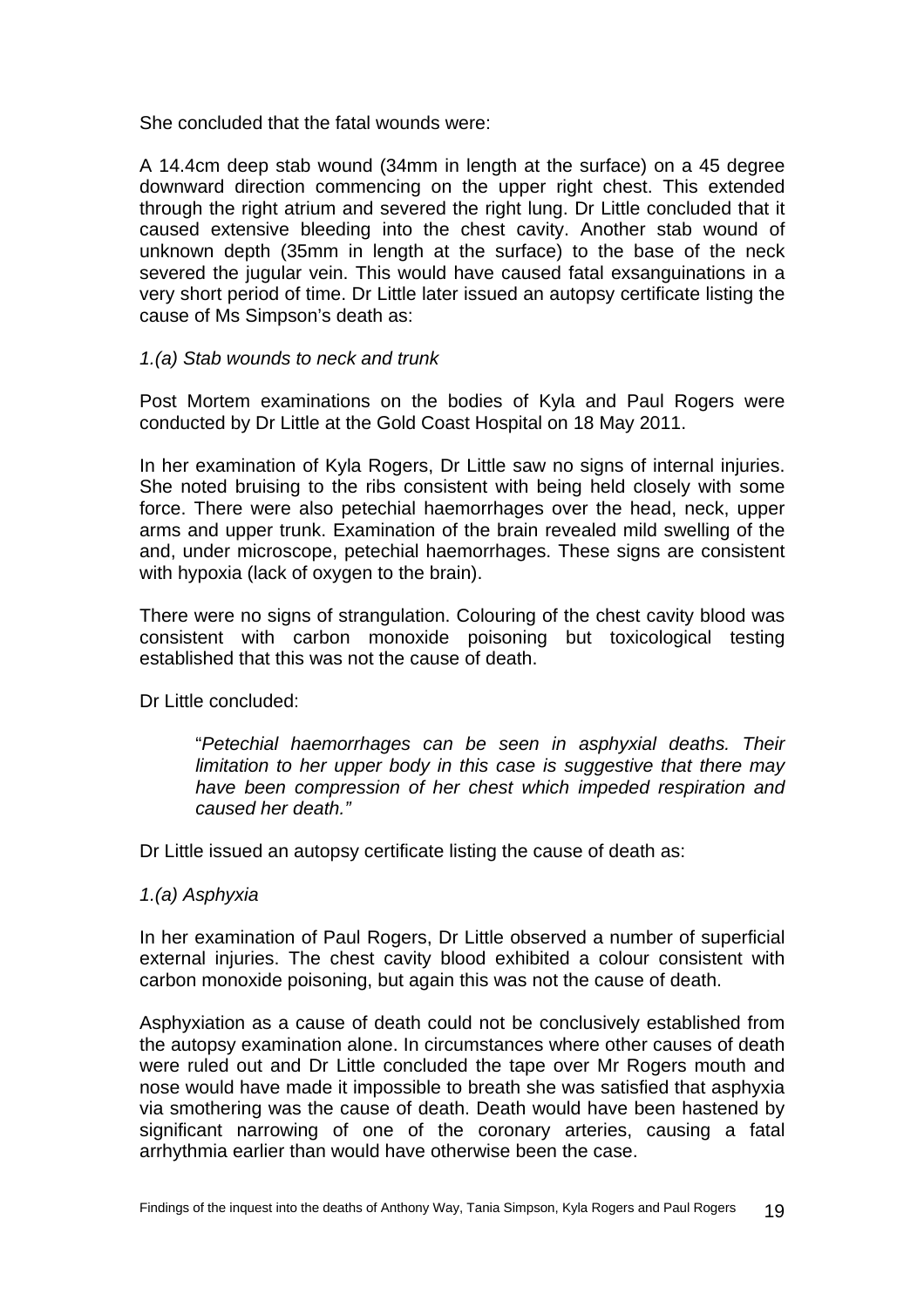She concluded that the fatal wounds were:

A 14.4cm deep stab wound (34mm in length at the surface) on a 45 degree downward direction commencing on the upper right chest. This extended through the right atrium and severed the right lung. Dr Little concluded that it caused extensive bleeding into the chest cavity. Another stab wound of unknown depth (35mm in length at the surface) to the base of the neck severed the jugular vein. This would have caused fatal exsanguinations in a very short period of time. Dr Little later issued an autopsy certificate listing the cause of Ms Simpson's death as:

### *1.(a) Stab wounds to neck and trunk*

Post Mortem examinations on the bodies of Kyla and Paul Rogers were conducted by Dr Little at the Gold Coast Hospital on 18 May 2011.

In her examination of Kyla Rogers, Dr Little saw no signs of internal injuries. She noted bruising to the ribs consistent with being held closely with some force. There were also petechial haemorrhages over the head, neck, upper arms and upper trunk. Examination of the brain revealed mild swelling of the and, under microscope, petechial haemorrhages. These signs are consistent with hypoxia (lack of oxygen to the brain).

There were no signs of strangulation. Colouring of the chest cavity blood was consistent with carbon monoxide poisoning but toxicological testing established that this was not the cause of death.

Dr Little concluded:

"*Petechial haemorrhages can be seen in asphyxial deaths. Their limitation to her upper body in this case is suggestive that there may have been compression of her chest which impeded respiration and caused her death."* 

Dr Little issued an autopsy certificate listing the cause of death as:

#### *1.(a) Asphyxia*

In her examination of Paul Rogers, Dr Little observed a number of superficial external injuries. The chest cavity blood exhibited a colour consistent with carbon monoxide poisoning, but again this was not the cause of death.

Asphyxiation as a cause of death could not be conclusively established from the autopsy examination alone. In circumstances where other causes of death were ruled out and Dr Little concluded the tape over Mr Rogers mouth and nose would have made it impossible to breath she was satisfied that asphyxia via smothering was the cause of death. Death would have been hastened by significant narrowing of one of the coronary arteries, causing a fatal arrhythmia earlier than would have otherwise been the case.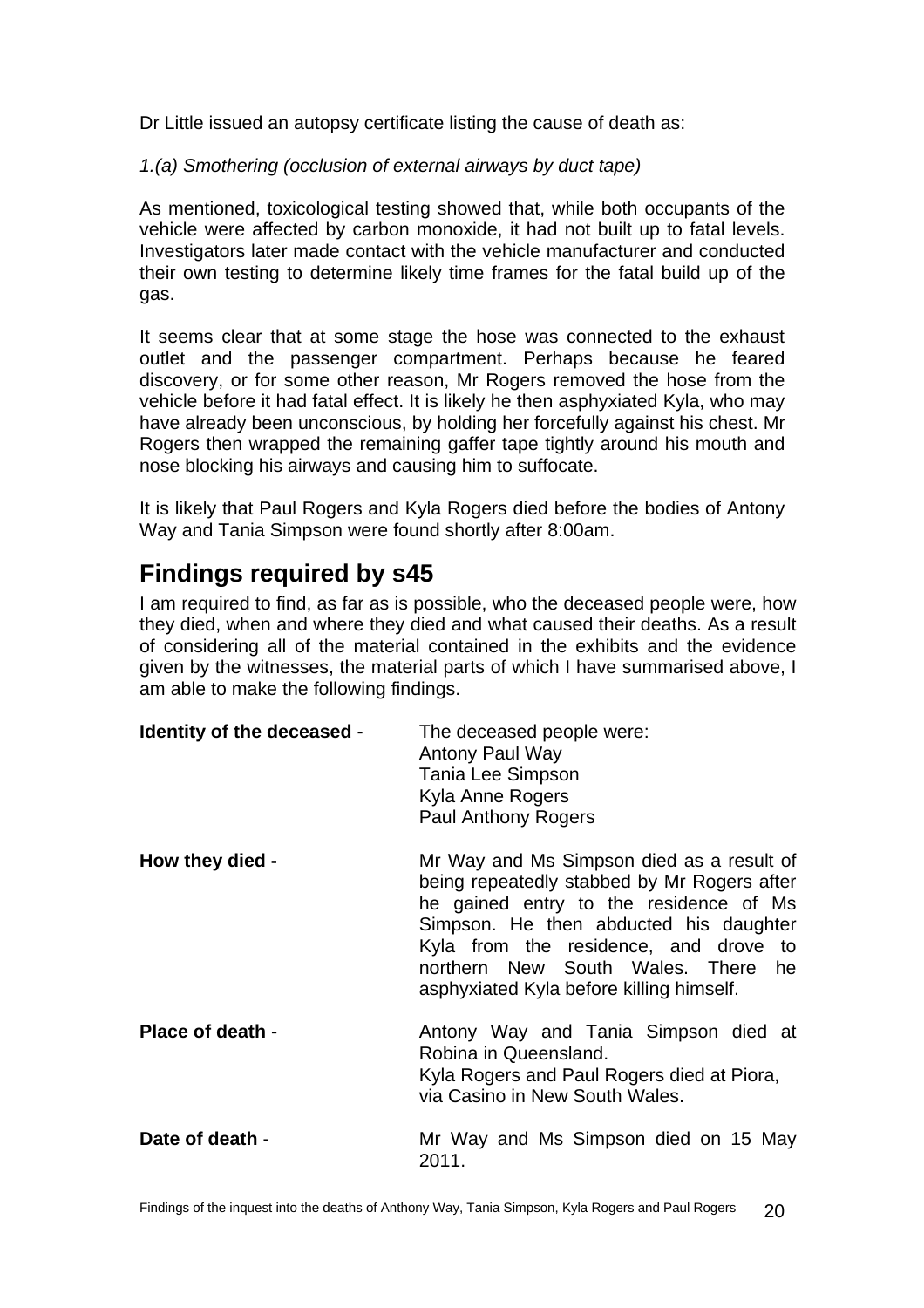<span id="page-21-0"></span>Dr Little issued an autopsy certificate listing the cause of death as:

*1.(a) Smothering (occlusion of external airways by duct tape)* 

As mentioned, toxicological testing showed that, while both occupants of the vehicle were affected by carbon monoxide, it had not built up to fatal levels. Investigators later made contact with the vehicle manufacturer and conducted their own testing to determine likely time frames for the fatal build up of the gas.

It seems clear that at some stage the hose was connected to the exhaust outlet and the passenger compartment. Perhaps because he feared discovery, or for some other reason, Mr Rogers removed the hose from the vehicle before it had fatal effect. It is likely he then asphyxiated Kyla, who may have already been unconscious, by holding her forcefully against his chest. Mr Rogers then wrapped the remaining gaffer tape tightly around his mouth and nose blocking his airways and causing him to suffocate.

It is likely that Paul Rogers and Kyla Rogers died before the bodies of Antony Way and Tania Simpson were found shortly after 8:00am.

# **Findings required by s45**

I am required to find, as far as is possible, who the deceased people were, how they died, when and where they died and what caused their deaths. As a result of considering all of the material contained in the exhibits and the evidence given by the witnesses, the material parts of which I have summarised above, I am able to make the following findings.

| Identity of the deceased - | The deceased people were:<br><b>Antony Paul Way</b><br>Tania Lee Simpson<br>Kyla Anne Rogers<br><b>Paul Anthony Rogers</b>                                                                                                                                                                              |
|----------------------------|---------------------------------------------------------------------------------------------------------------------------------------------------------------------------------------------------------------------------------------------------------------------------------------------------------|
| How they died -            | Mr Way and Ms Simpson died as a result of<br>being repeatedly stabbed by Mr Rogers after<br>he gained entry to the residence of Ms<br>Simpson. He then abducted his daughter<br>Kyla from the residence, and drove to<br>northern New South Wales. There he<br>asphyxiated Kyla before killing himself. |
| Place of death -           | Antony Way and Tania Simpson died at<br>Robina in Queensland.<br>Kyla Rogers and Paul Rogers died at Piora,<br>via Casino in New South Wales.                                                                                                                                                           |
| Date of death -            | Mr Way and Ms Simpson died on 15 May<br>2011.                                                                                                                                                                                                                                                           |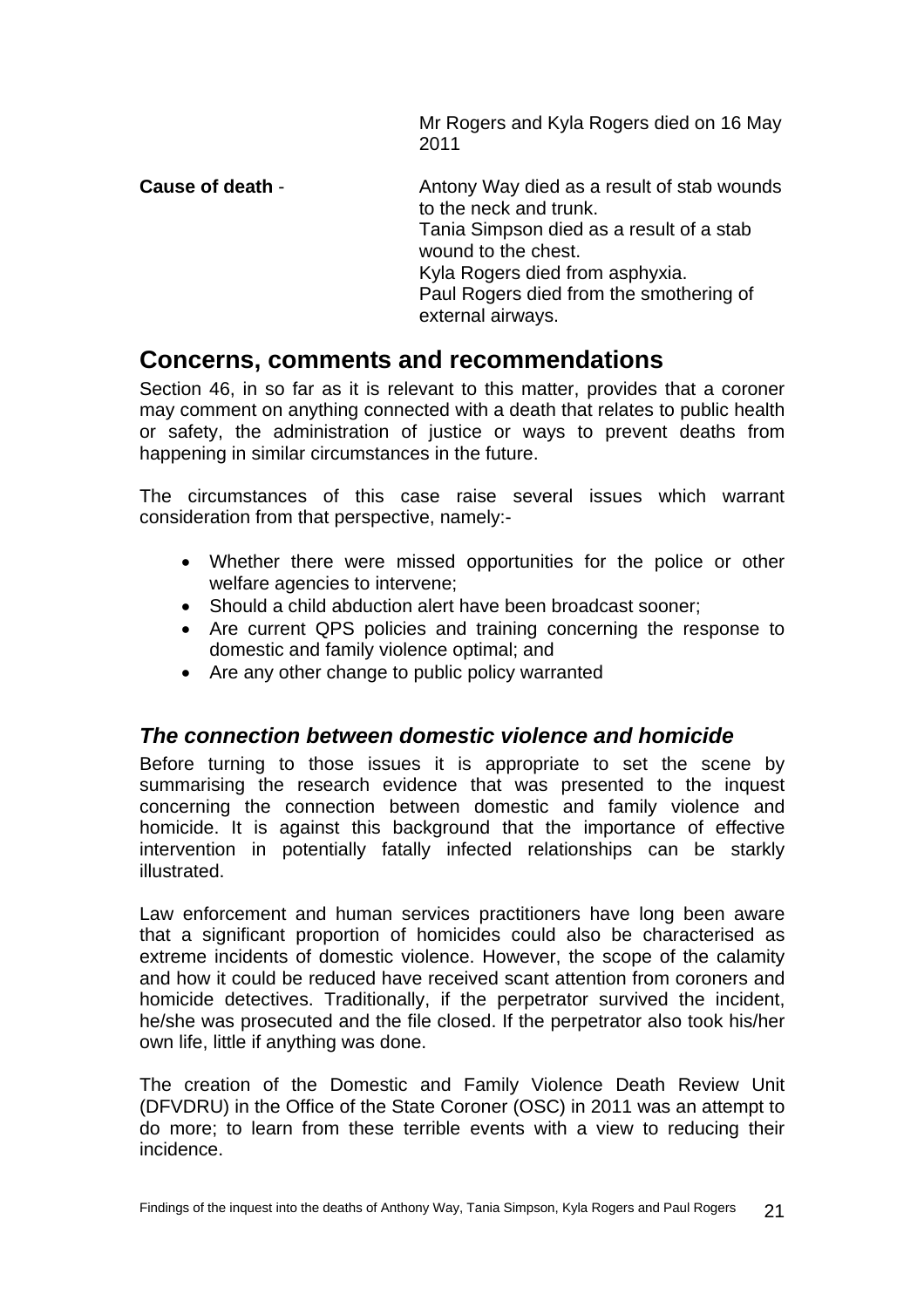Mr Rogers and Kyla Rogers died on 16 May 2011

<span id="page-22-0"></span>**Cause of death** - Antony Way died as a result of stab wounds to the neck and trunk. Tania Simpson died as a result of a stab wound to the chest. Kyla Rogers died from asphyxia. Paul Rogers died from the smothering of external airways.

# **Concerns, comments and recommendations**

Section 46, in so far as it is relevant to this matter, provides that a coroner may comment on anything connected with a death that relates to public health or safety, the administration of justice or ways to prevent deaths from happening in similar circumstances in the future.

The circumstances of this case raise several issues which warrant consideration from that perspective, namely:-

- Whether there were missed opportunities for the police or other welfare agencies to intervene;
- Should a child abduction alert have been broadcast sooner;
- Are current QPS policies and training concerning the response to domestic and family violence optimal; and
- Are any other change to public policy warranted

### *The connection between domestic violence and homicide*

Before turning to those issues it is appropriate to set the scene by summarising the research evidence that was presented to the inquest concerning the connection between domestic and family violence and homicide. It is against this background that the importance of effective intervention in potentially fatally infected relationships can be starkly illustrated.

Law enforcement and human services practitioners have long been aware that a significant proportion of homicides could also be characterised as extreme incidents of domestic violence. However, the scope of the calamity and how it could be reduced have received scant attention from coroners and homicide detectives. Traditionally, if the perpetrator survived the incident, he/she was prosecuted and the file closed. If the perpetrator also took his/her own life, little if anything was done.

The creation of the Domestic and Family Violence Death Review Unit (DFVDRU) in the Office of the State Coroner (OSC) in 2011 was an attempt to do more; to learn from these terrible events with a view to reducing their incidence.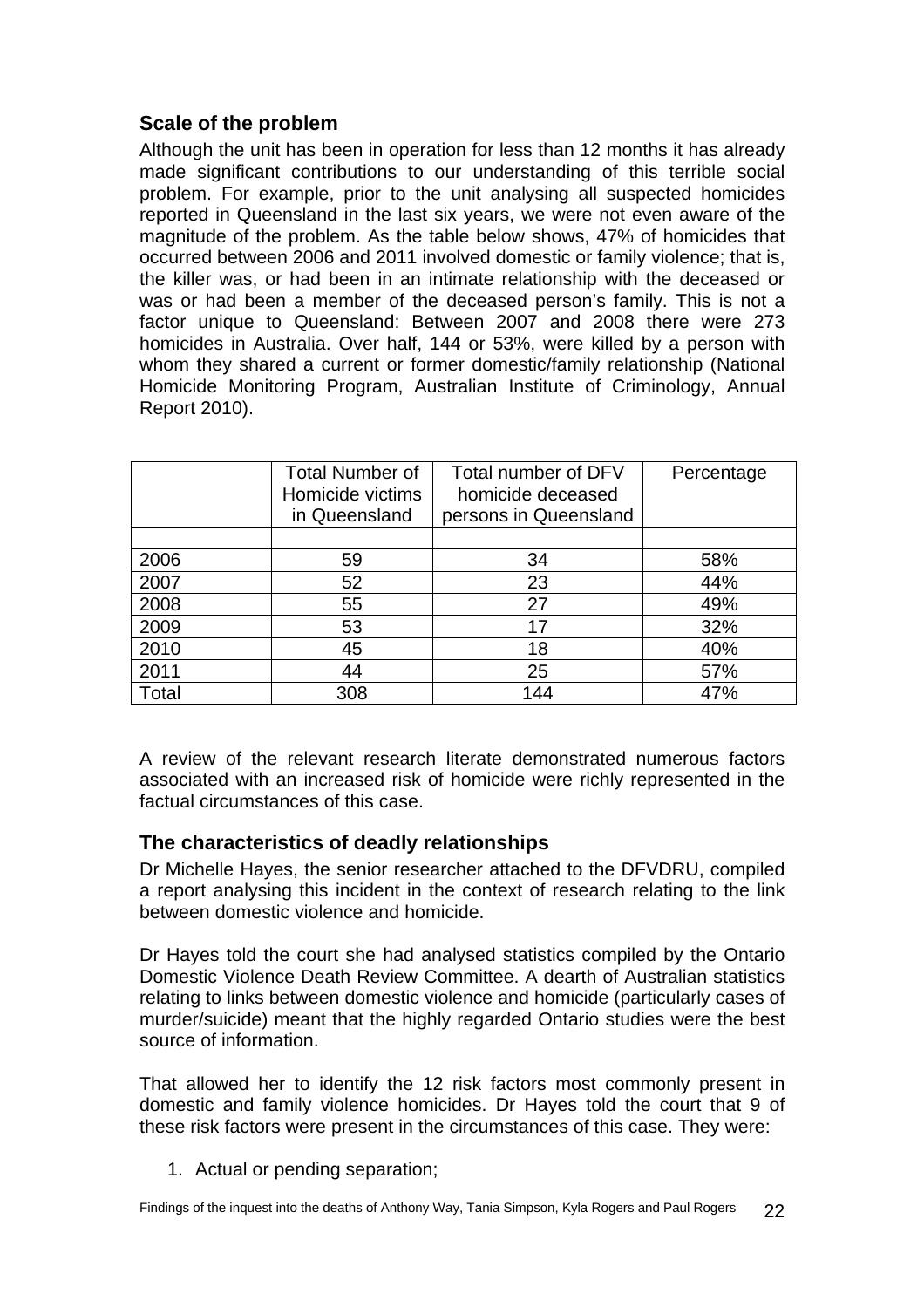### <span id="page-23-0"></span>**Scale of the problem**

Although the unit has been in operation for less than 12 months it has already made significant contributions to our understanding of this terrible social problem. For example, prior to the unit analysing all suspected homicides reported in Queensland in the last six years, we were not even aware of the magnitude of the problem. As the table below shows, 47% of homicides that occurred between 2006 and 2011 involved domestic or family violence; that is, the killer was, or had been in an intimate relationship with the deceased or was or had been a member of the deceased person's family. This is not a factor unique to Queensland: Between 2007 and 2008 there were 273 homicides in Australia. Over half, 144 or 53%, were killed by a person with whom they shared a current or former domestic/family relationship (National Homicide Monitoring Program, Australian Institute of Criminology, Annual Report 2010).

|       | <b>Total Number of</b><br>Homicide victims<br>in Queensland | Total number of DFV<br>homicide deceased<br>persons in Queensland | Percentage |
|-------|-------------------------------------------------------------|-------------------------------------------------------------------|------------|
| 2006  | 59                                                          | 34                                                                | 58%        |
| 2007  | 52                                                          | 23                                                                | 44%        |
| 2008  | 55                                                          | 27                                                                | 49%        |
| 2009  | 53                                                          | 17                                                                | 32%        |
| 2010  | 45                                                          | 18                                                                | 40%        |
| 2011  | 44                                                          | 25                                                                | 57%        |
| Total | 308                                                         | 144                                                               | 47%        |

A review of the relevant research literate demonstrated numerous factors associated with an increased risk of homicide were richly represented in the factual circumstances of this case.

### **The characteristics of deadly relationships**

Dr Michelle Hayes, the senior researcher attached to the DFVDRU, compiled a report analysing this incident in the context of research relating to the link between domestic violence and homicide.

Dr Hayes told the court she had analysed statistics compiled by the Ontario Domestic Violence Death Review Committee. A dearth of Australian statistics relating to links between domestic violence and homicide (particularly cases of murder/suicide) meant that the highly regarded Ontario studies were the best source of information.

That allowed her to identify the 12 risk factors most commonly present in domestic and family violence homicides. Dr Hayes told the court that 9 of these risk factors were present in the circumstances of this case. They were:

1. Actual or pending separation;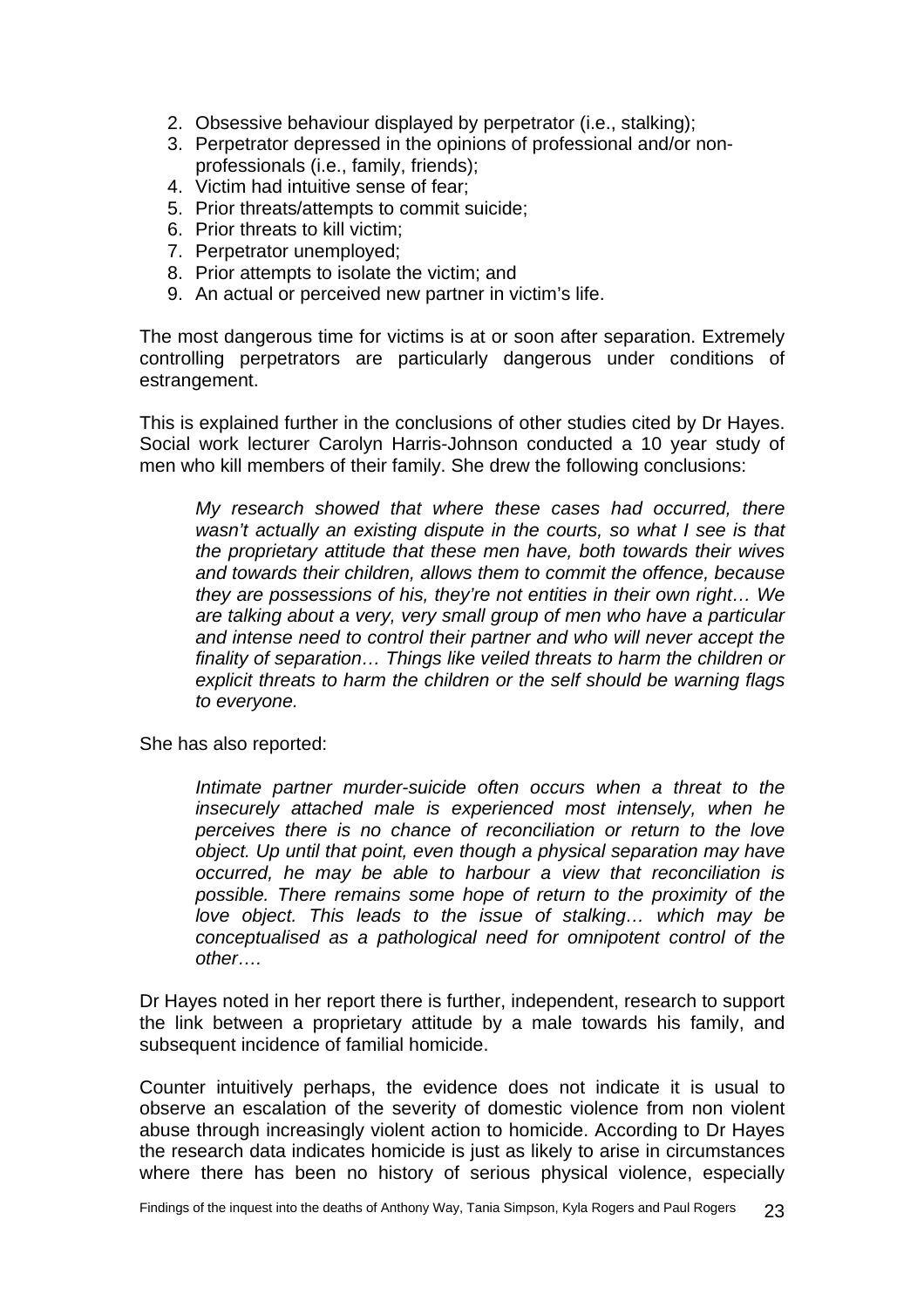- 2. Obsessive behaviour displayed by perpetrator (i.e., stalking);
- 3. Perpetrator depressed in the opinions of professional and/or nonprofessionals (i.e., family, friends);
- 4. Victim had intuitive sense of fear;
- 5. Prior threats/attempts to commit suicide;
- 6. Prior threats to kill victim;
- 7. Perpetrator unemployed;
- 8. Prior attempts to isolate the victim; and
- 9. An actual or perceived new partner in victim's life.

The most dangerous time for victims is at or soon after separation. Extremely controlling perpetrators are particularly dangerous under conditions of estrangement.

This is explained further in the conclusions of other studies cited by Dr Hayes. Social work lecturer Carolyn Harris-Johnson conducted a 10 year study of men who kill members of their family. She drew the following conclusions:

*My research showed that where these cases had occurred, there wasn't actually an existing dispute in the courts, so what I see is that the proprietary attitude that these men have, both towards their wives and towards their children, allows them to commit the offence, because they are possessions of his, they're not entities in their own right… We are talking about a very, very small group of men who have a particular and intense need to control their partner and who will never accept the finality of separation… Things like veiled threats to harm the children or explicit threats to harm the children or the self should be warning flags to everyone.* 

She has also reported:

*Intimate partner murder-suicide often occurs when a threat to the insecurely attached male is experienced most intensely, when he perceives there is no chance of reconciliation or return to the love object. Up until that point, even though a physical separation may have occurred, he may be able to harbour a view that reconciliation is possible. There remains some hope of return to the proximity of the love object. This leads to the issue of stalking… which may be conceptualised as a pathological need for omnipotent control of the other….* 

Dr Hayes noted in her report there is further, independent, research to support the link between a proprietary attitude by a male towards his family, and subsequent incidence of familial homicide.

Counter intuitively perhaps, the evidence does not indicate it is usual to observe an escalation of the severity of domestic violence from non violent abuse through increasingly violent action to homicide. According to Dr Hayes the research data indicates homicide is just as likely to arise in circumstances where there has been no history of serious physical violence, especially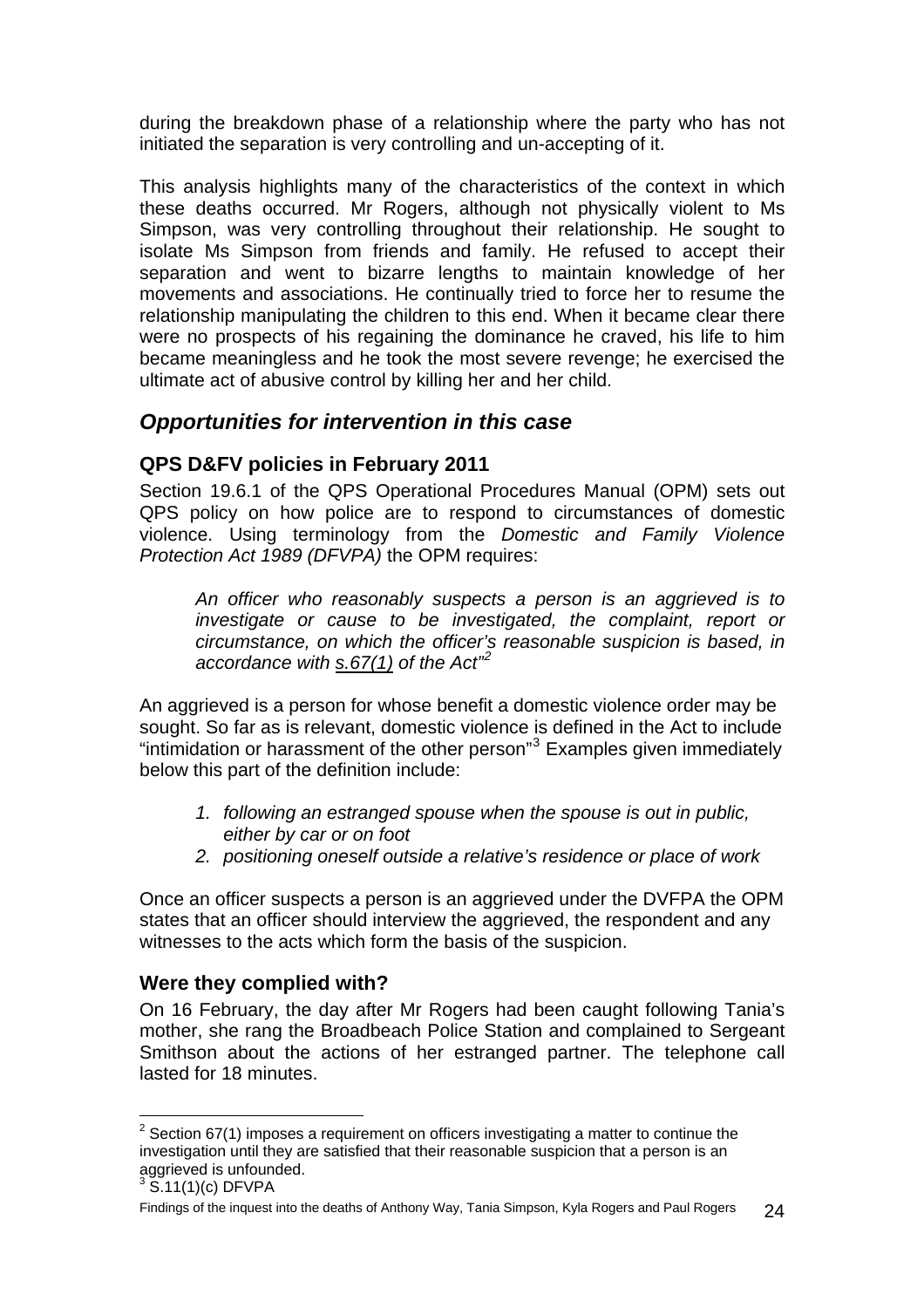<span id="page-25-0"></span>during the breakdown phase of a relationship where the party who has not initiated the separation is very controlling and un-accepting of it.

This analysis highlights many of the characteristics of the context in which these deaths occurred. Mr Rogers, although not physically violent to Ms Simpson, was very controlling throughout their relationship. He sought to isolate Ms Simpson from friends and family. He refused to accept their separation and went to bizarre lengths to maintain knowledge of her movements and associations. He continually tried to force her to resume the relationship manipulating the children to this end. When it became clear there were no prospects of his regaining the dominance he craved, his life to him became meaningless and he took the most severe revenge; he exercised the ultimate act of abusive control by killing her and her child.

## *Opportunities for intervention in this case*

### **QPS D&FV policies in February 2011**

Section 19.6.1 of the QPS Operational Procedures Manual (OPM) sets out QPS policy on how police are to respond to circumstances of domestic violence. Using terminology from the *Domestic and Family Violence Protection Act 1989 (DFVPA)* the OPM requires:

*An officer who reasonably suspects a person is an aggrieved is to investigate or cause to be investigated, the complaint, report or circumstance, on which the officer's reasonable suspicion is based, in accordance with s.67(1) of the Act"[2](#page-25-1)*

An aggrieved is a person for whose benefit a domestic violence order may be sought. So far as is relevant, domestic violence is defined in the Act to include "intimidation or harassment of the other person"<sup>[3](#page-25-2)</sup> Examples given immediately below this part of the definition include:

- *1. following an estranged spouse when the spouse is out in public, either by car or on foot*
- *2. positioning oneself outside a relative's residence or place of work*

Once an officer suspects a person is an aggrieved under the DVFPA the OPM states that an officer should interview the aggrieved, the respondent and any witnesses to the acts which form the basis of the suspicion.

### **Were they complied with?**

On 16 February, the day after Mr Rogers had been caught following Tania's mother, she rang the Broadbeach Police Station and complained to Sergeant Smithson about the actions of her estranged partner. The telephone call lasted for 18 minutes.

<span id="page-25-1"></span> 2 Section 67(1) imposes a requirement on officers investigating a matter to continue the investigation until they are satisfied that their reasonable suspicion that a person is an aggrieved is unfounded.

<span id="page-25-2"></span> $3\,$  S.11(1)(c) DFVPA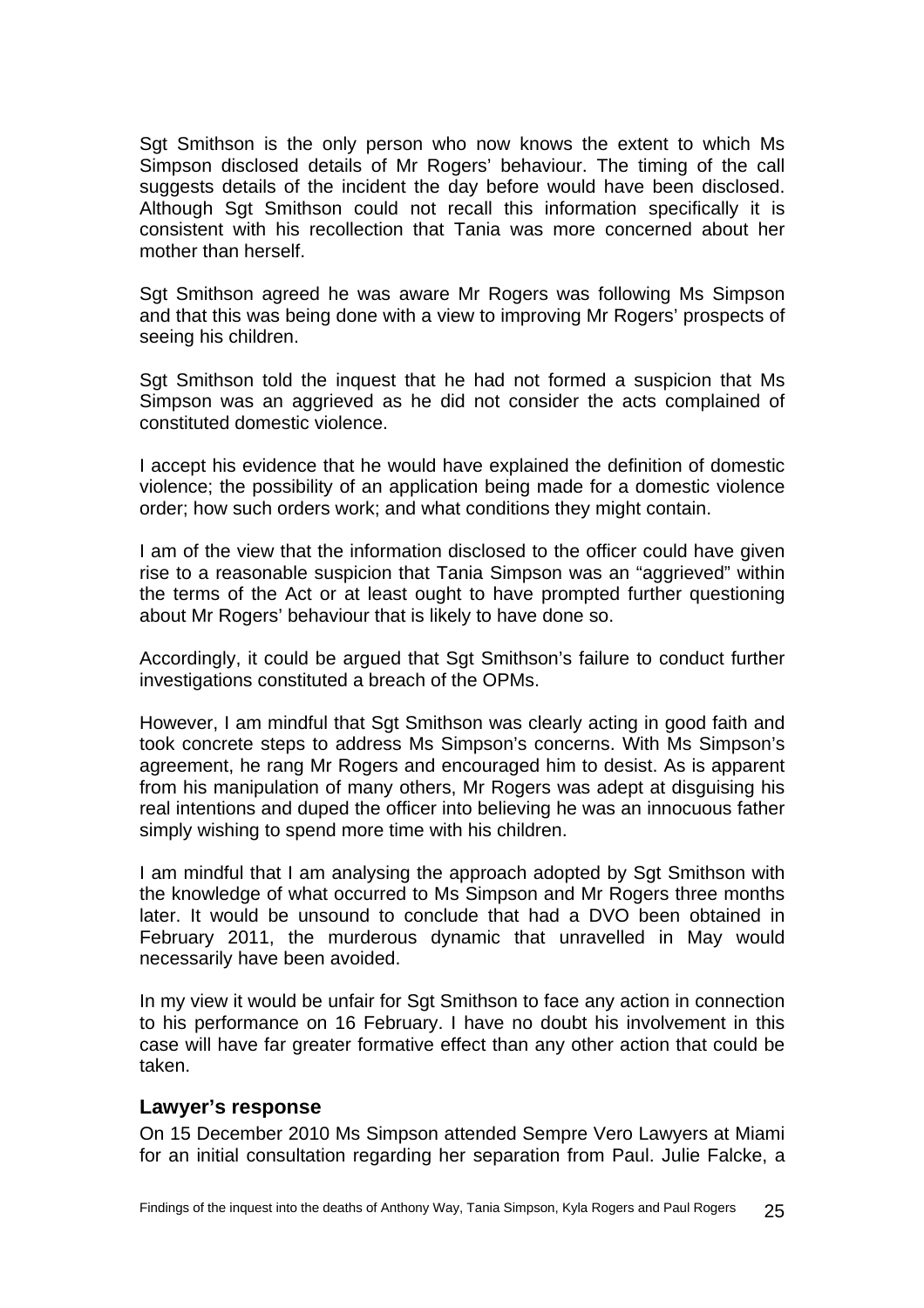<span id="page-26-0"></span>Sgt Smithson is the only person who now knows the extent to which Ms Simpson disclosed details of Mr Rogers' behaviour. The timing of the call suggests details of the incident the day before would have been disclosed. Although Sgt Smithson could not recall this information specifically it is consistent with his recollection that Tania was more concerned about her mother than herself.

Sgt Smithson agreed he was aware Mr Rogers was following Ms Simpson and that this was being done with a view to improving Mr Rogers' prospects of seeing his children.

Sgt Smithson told the inquest that he had not formed a suspicion that Ms Simpson was an aggrieved as he did not consider the acts complained of constituted domestic violence.

I accept his evidence that he would have explained the definition of domestic violence; the possibility of an application being made for a domestic violence order; how such orders work; and what conditions they might contain.

I am of the view that the information disclosed to the officer could have given rise to a reasonable suspicion that Tania Simpson was an "aggrieved" within the terms of the Act or at least ought to have prompted further questioning about Mr Rogers' behaviour that is likely to have done so.

Accordingly, it could be argued that Sgt Smithson's failure to conduct further investigations constituted a breach of the OPMs.

However, I am mindful that Sgt Smithson was clearly acting in good faith and took concrete steps to address Ms Simpson's concerns. With Ms Simpson's agreement, he rang Mr Rogers and encouraged him to desist. As is apparent from his manipulation of many others, Mr Rogers was adept at disguising his real intentions and duped the officer into believing he was an innocuous father simply wishing to spend more time with his children.

I am mindful that I am analysing the approach adopted by Sgt Smithson with the knowledge of what occurred to Ms Simpson and Mr Rogers three months later. It would be unsound to conclude that had a DVO been obtained in February 2011, the murderous dynamic that unravelled in May would necessarily have been avoided.

In my view it would be unfair for Sgt Smithson to face any action in connection to his performance on 16 February. I have no doubt his involvement in this case will have far greater formative effect than any other action that could be taken.

### **Lawyer's response**

On 15 December 2010 Ms Simpson attended Sempre Vero Lawyers at Miami for an initial consultation regarding her separation from Paul. Julie Falcke, a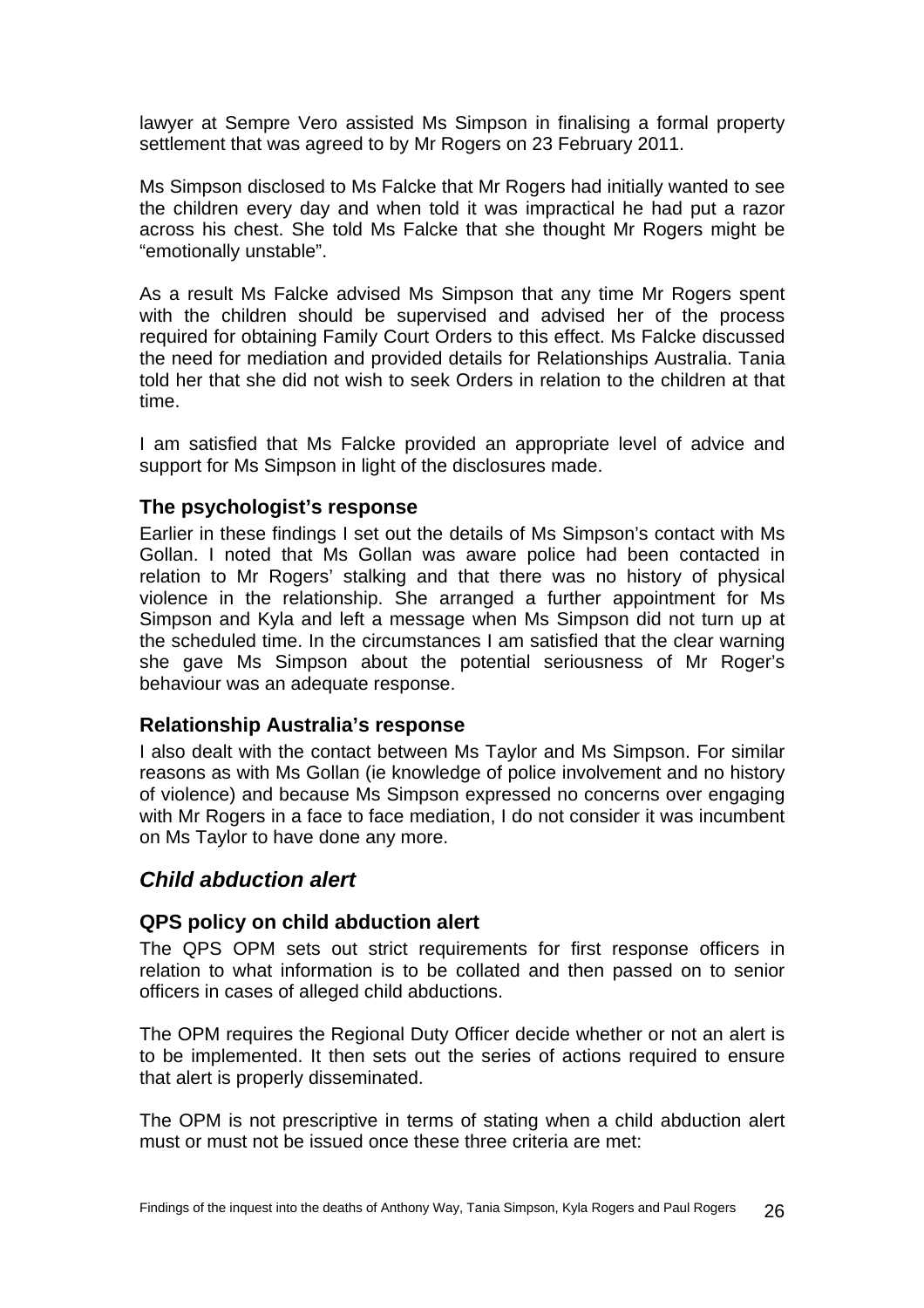<span id="page-27-0"></span>lawyer at Sempre Vero assisted Ms Simpson in finalising a formal property settlement that was agreed to by Mr Rogers on 23 February 2011.

Ms Simpson disclosed to Ms Falcke that Mr Rogers had initially wanted to see the children every day and when told it was impractical he had put a razor across his chest. She told Ms Falcke that she thought Mr Rogers might be "emotionally unstable".

As a result Ms Falcke advised Ms Simpson that any time Mr Rogers spent with the children should be supervised and advised her of the process required for obtaining Family Court Orders to this effect. Ms Falcke discussed the need for mediation and provided details for Relationships Australia. Tania told her that she did not wish to seek Orders in relation to the children at that time.

I am satisfied that Ms Falcke provided an appropriate level of advice and support for Ms Simpson in light of the disclosures made.

### **The psychologist's response**

Earlier in these findings I set out the details of Ms Simpson's contact with Ms Gollan. I noted that Ms Gollan was aware police had been contacted in relation to Mr Rogers' stalking and that there was no history of physical violence in the relationship. She arranged a further appointment for Ms Simpson and Kyla and left a message when Ms Simpson did not turn up at the scheduled time. In the circumstances I am satisfied that the clear warning she gave Ms Simpson about the potential seriousness of Mr Roger's behaviour was an adequate response.

### **Relationship Australia's response**

I also dealt with the contact between Ms Taylor and Ms Simpson. For similar reasons as with Ms Gollan (ie knowledge of police involvement and no history of violence) and because Ms Simpson expressed no concerns over engaging with Mr Rogers in a face to face mediation, I do not consider it was incumbent on Ms Taylor to have done any more.

### *Child abduction alert*

### **QPS policy on child abduction alert**

The QPS OPM sets out strict requirements for first response officers in relation to what information is to be collated and then passed on to senior officers in cases of alleged child abductions.

The OPM requires the Regional Duty Officer decide whether or not an alert is to be implemented. It then sets out the series of actions required to ensure that alert is properly disseminated.

The OPM is not prescriptive in terms of stating when a child abduction alert must or must not be issued once these three criteria are met: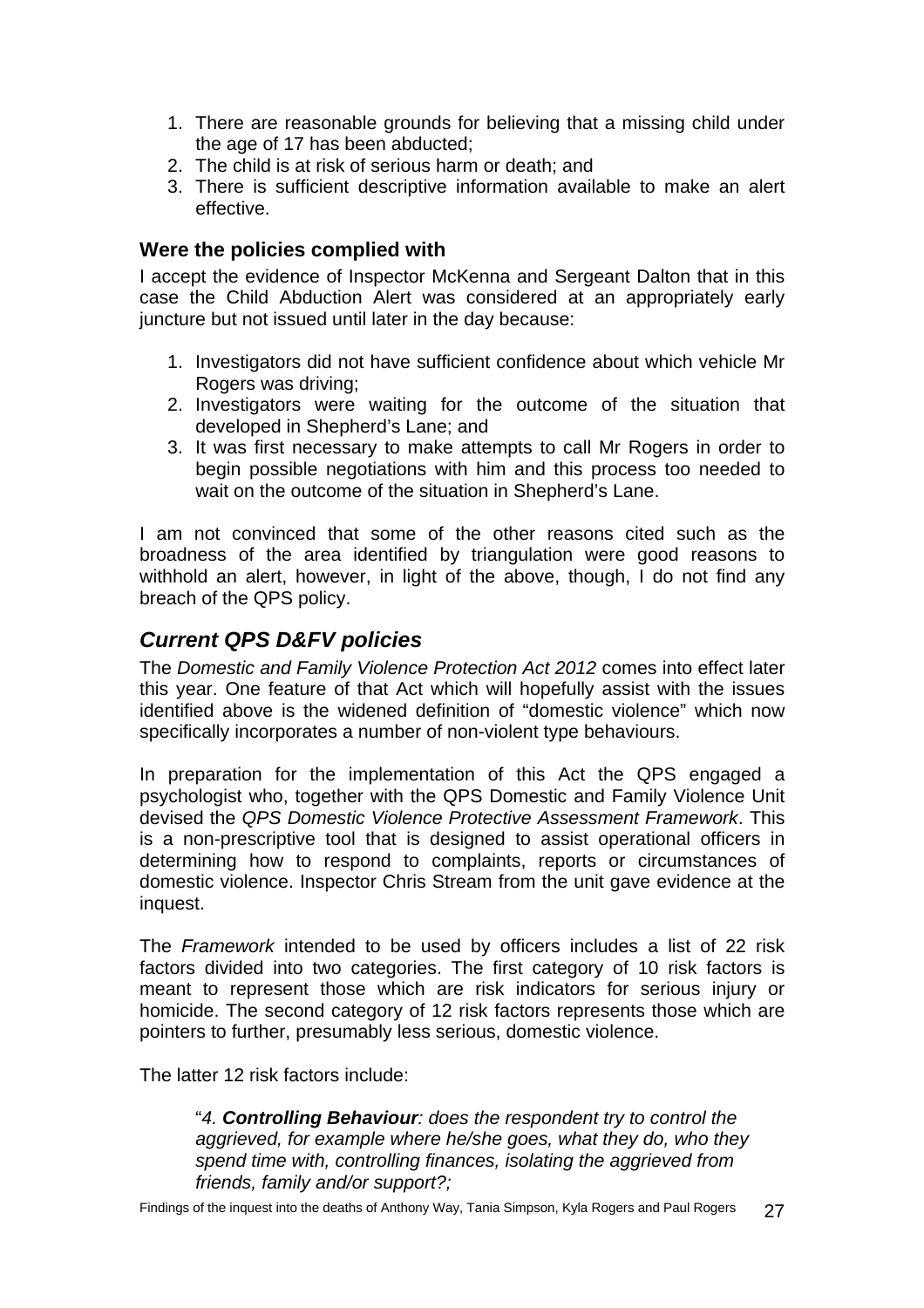- <span id="page-28-0"></span>1. There are reasonable grounds for believing that a missing child under the age of 17 has been abducted;
- 2. The child is at risk of serious harm or death; and
- 3. There is sufficient descriptive information available to make an alert effective.

### **Were the policies complied with**

I accept the evidence of Inspector McKenna and Sergeant Dalton that in this case the Child Abduction Alert was considered at an appropriately early juncture but not issued until later in the day because:

- 1. Investigators did not have sufficient confidence about which vehicle Mr Rogers was driving:
- 2. Investigators were waiting for the outcome of the situation that developed in Shepherd's Lane; and
- 3. It was first necessary to make attempts to call Mr Rogers in order to begin possible negotiations with him and this process too needed to wait on the outcome of the situation in Shepherd's Lane.

I am not convinced that some of the other reasons cited such as the broadness of the area identified by triangulation were good reasons to withhold an alert, however, in light of the above, though, I do not find any breach of the QPS policy.

## *Current QPS D&FV policies*

The *Domestic and Family Violence Protection Act 2012* comes into effect later this year. One feature of that Act which will hopefully assist with the issues identified above is the widened definition of "domestic violence" which now specifically incorporates a number of non-violent type behaviours.

In preparation for the implementation of this Act the QPS engaged a psychologist who, together with the QPS Domestic and Family Violence Unit devised the *QPS Domestic Violence Protective Assessment Framework*. This is a non-prescriptive tool that is designed to assist operational officers in determining how to respond to complaints, reports or circumstances of domestic violence. Inspector Chris Stream from the unit gave evidence at the inquest.

The *Framework* intended to be used by officers includes a list of 22 risk factors divided into two categories. The first category of 10 risk factors is meant to represent those which are risk indicators for serious injury or homicide. The second category of 12 risk factors represents those which are pointers to further, presumably less serious, domestic violence.

The latter 12 risk factors include:

"*4. Controlling Behaviour: does the respondent try to control the aggrieved, for example where he/she goes, what they do, who they spend time with, controlling finances, isolating the aggrieved from friends, family and/or support?;* 

Findings of the inquest into the deaths of Anthony Way, Tania Simpson, Kyla Rogers and Paul Rogers 27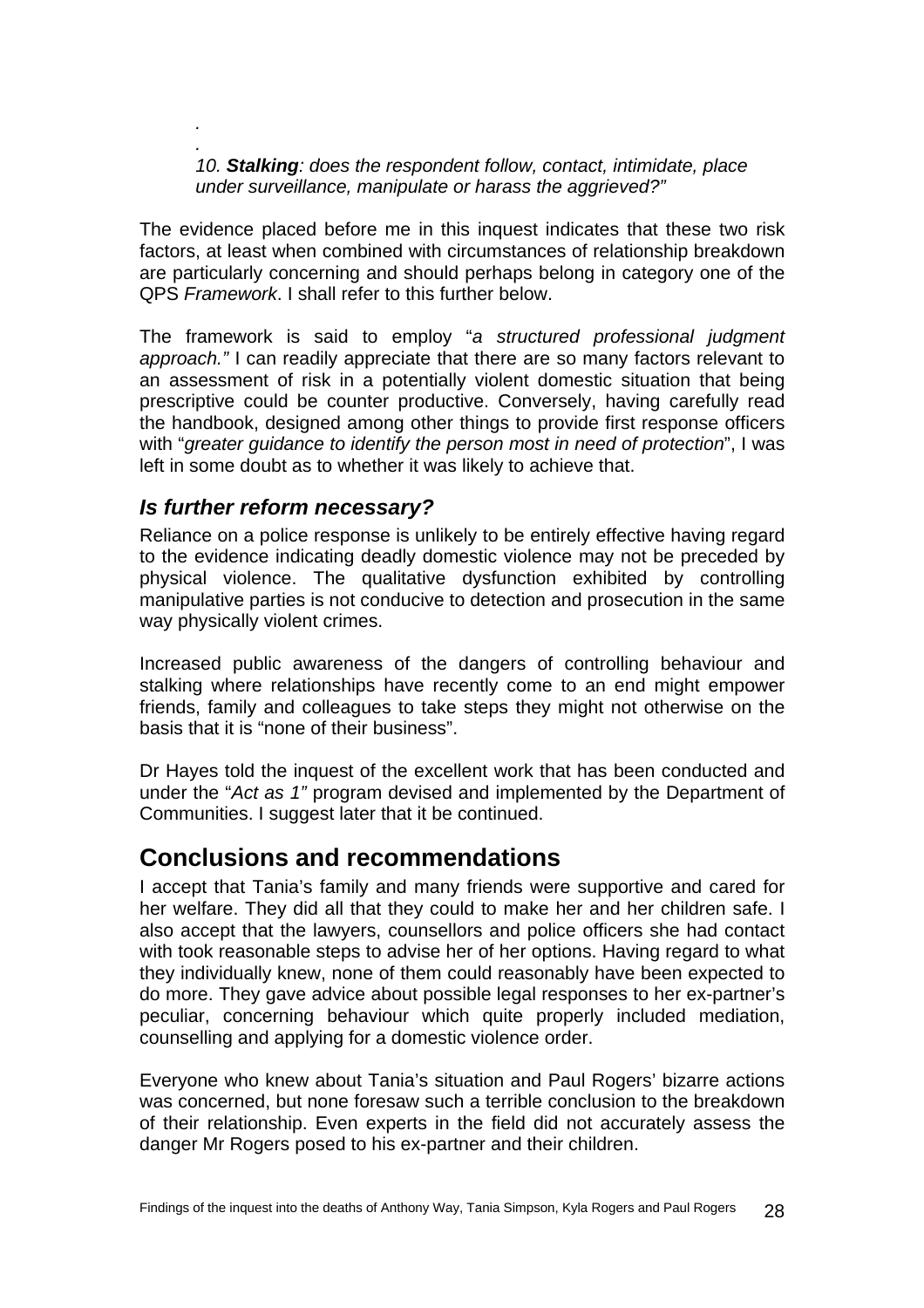*. 10. Stalking: does the respondent follow, contact, intimidate, place under surveillance, manipulate or harass the aggrieved?"* 

The evidence placed before me in this inquest indicates that these two risk factors, at least when combined with circumstances of relationship breakdown are particularly concerning and should perhaps belong in category one of the QPS *Framework*. I shall refer to this further below.

The framework is said to employ "*a structured professional judgment approach."* I can readily appreciate that there are so many factors relevant to an assessment of risk in a potentially violent domestic situation that being prescriptive could be counter productive. Conversely, having carefully read the handbook, designed among other things to provide first response officers with "*greater guidance to identify the person most in need of protection*", I was left in some doubt as to whether it was likely to achieve that.

### *Is further reform necessary?*

<span id="page-29-0"></span>*.* 

Reliance on a police response is unlikely to be entirely effective having regard to the evidence indicating deadly domestic violence may not be preceded by physical violence. The qualitative dysfunction exhibited by controlling manipulative parties is not conducive to detection and prosecution in the same way physically violent crimes.

Increased public awareness of the dangers of controlling behaviour and stalking where relationships have recently come to an end might empower friends, family and colleagues to take steps they might not otherwise on the basis that it is "none of their business".

Dr Hayes told the inquest of the excellent work that has been conducted and under the "*Act as 1"* program devised and implemented by the Department of Communities. I suggest later that it be continued.

## **Conclusions and recommendations**

I accept that Tania's family and many friends were supportive and cared for her welfare. They did all that they could to make her and her children safe. I also accept that the lawyers, counsellors and police officers she had contact with took reasonable steps to advise her of her options. Having regard to what they individually knew, none of them could reasonably have been expected to do more. They gave advice about possible legal responses to her ex-partner's peculiar, concerning behaviour which quite properly included mediation, counselling and applying for a domestic violence order.

Everyone who knew about Tania's situation and Paul Rogers' bizarre actions was concerned, but none foresaw such a terrible conclusion to the breakdown of their relationship. Even experts in the field did not accurately assess the danger Mr Rogers posed to his ex-partner and their children.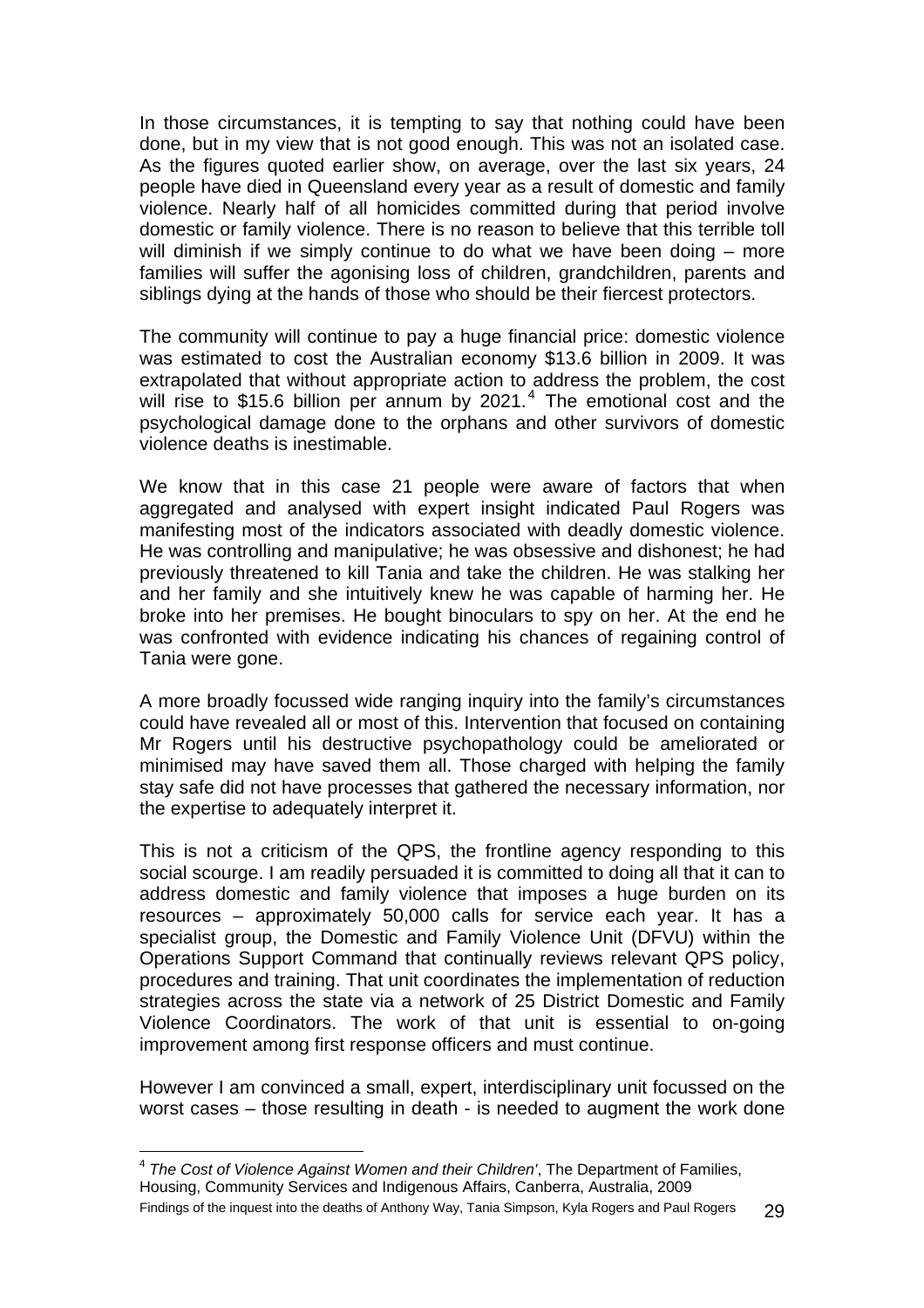In those circumstances, it is tempting to say that nothing could have been done, but in my view that is not good enough. This was not an isolated case. As the figures quoted earlier show, on average, over the last six years, 24 people have died in Queensland every year as a result of domestic and family violence. Nearly half of all homicides committed during that period involve domestic or family violence. There is no reason to believe that this terrible toll will diminish if we simply continue to do what we have been doing – more families will suffer the agonising loss of children, grandchildren, parents and siblings dying at the hands of those who should be their fiercest protectors.

The community will continue to pay a huge financial price: domestic violence was estimated to cost the Australian economy \$13.6 billion in 2009. It was extrapolated that without appropriate action to address the problem, the cost will rise to \$15.6 billion per annum by 2021. $<sup>4</sup>$  $<sup>4</sup>$  $<sup>4</sup>$  The emotional cost and the</sup> psychological damage done to the orphans and other survivors of domestic violence deaths is inestimable.

We know that in this case 21 people were aware of factors that when aggregated and analysed with expert insight indicated Paul Rogers was manifesting most of the indicators associated with deadly domestic violence. He was controlling and manipulative; he was obsessive and dishonest; he had previously threatened to kill Tania and take the children. He was stalking her and her family and she intuitively knew he was capable of harming her. He broke into her premises. He bought binoculars to spy on her. At the end he was confronted with evidence indicating his chances of regaining control of Tania were gone.

A more broadly focussed wide ranging inquiry into the family's circumstances could have revealed all or most of this. Intervention that focused on containing Mr Rogers until his destructive psychopathology could be ameliorated or minimised may have saved them all. Those charged with helping the family stay safe did not have processes that gathered the necessary information, nor the expertise to adequately interpret it.

This is not a criticism of the QPS, the frontline agency responding to this social scourge. I am readily persuaded it is committed to doing all that it can to address domestic and family violence that imposes a huge burden on its resources – approximately 50,000 calls for service each year. It has a specialist group, the Domestic and Family Violence Unit (DFVU) within the Operations Support Command that continually reviews relevant QPS policy, procedures and training. That unit coordinates the implementation of reduction strategies across the state via a network of 25 District Domestic and Family Violence Coordinators. The work of that unit is essential to on-going improvement among first response officers and must continue.

However I am convinced a small, expert, interdisciplinary unit focussed on the worst cases – those resulting in death - is needed to augment the work done

l

<span id="page-30-0"></span><sup>4</sup> *The Cost of Violence Against Women and their Children'*, The Department of Families, Housing, Community Services and Indigenous Affairs, Canberra, Australia, 2009 Findings of the inquest into the deaths of Anthony Way, Tania Simpson, Kyla Rogers and Paul Rogers 29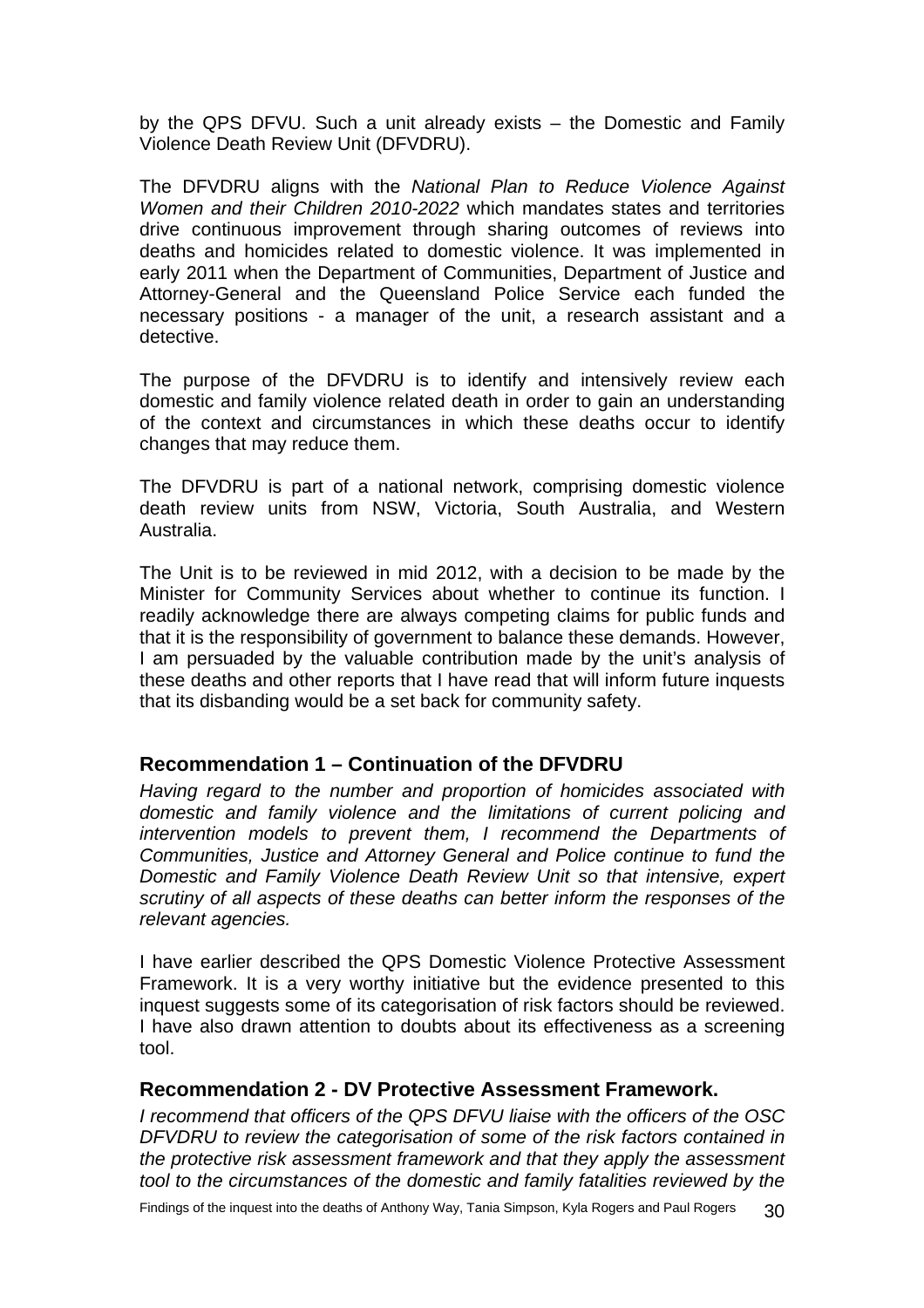<span id="page-31-0"></span>by the QPS DFVU. Such a unit already exists – the Domestic and Family Violence Death Review Unit (DFVDRU).

The DFVDRU aligns with the *National Plan to Reduce Violence Against Women and their Children 2010-2022* which mandates states and territories drive continuous improvement through sharing outcomes of reviews into deaths and homicides related to domestic violence. It was implemented in early 2011 when the Department of Communities, Department of Justice and Attorney-General and the Queensland Police Service each funded the necessary positions - a manager of the unit, a research assistant and a detective.

The purpose of the DFVDRU is to identify and intensively review each domestic and family violence related death in order to gain an understanding of the context and circumstances in which these deaths occur to identify changes that may reduce them.

The DFVDRU is part of a national network, comprising domestic violence death review units from NSW, Victoria, South Australia, and Western Australia.

The Unit is to be reviewed in mid 2012, with a decision to be made by the Minister for Community Services about whether to continue its function. I readily acknowledge there are always competing claims for public funds and that it is the responsibility of government to balance these demands. However, I am persuaded by the valuable contribution made by the unit's analysis of these deaths and other reports that I have read that will inform future inquests that its disbanding would be a set back for community safety.

### **Recommendation 1 – Continuation of the DFVDRU**

*Having regard to the number and proportion of homicides associated with domestic and family violence and the limitations of current policing and intervention models to prevent them, I recommend the Departments of Communities, Justice and Attorney General and Police continue to fund the Domestic and Family Violence Death Review Unit so that intensive, expert scrutiny of all aspects of these deaths can better inform the responses of the relevant agencies.* 

I have earlier described the QPS Domestic Violence Protective Assessment Framework. It is a very worthy initiative but the evidence presented to this inquest suggests some of its categorisation of risk factors should be reviewed. I have also drawn attention to doubts about its effectiveness as a screening tool.

### **Recommendation 2 - DV Protective Assessment Framework.**

*I recommend that officers of the QPS DFVU liaise with the officers of the OSC DFVDRU to review the categorisation of some of the risk factors contained in the protective risk assessment framework and that they apply the assessment tool to the circumstances of the domestic and family fatalities reviewed by the*